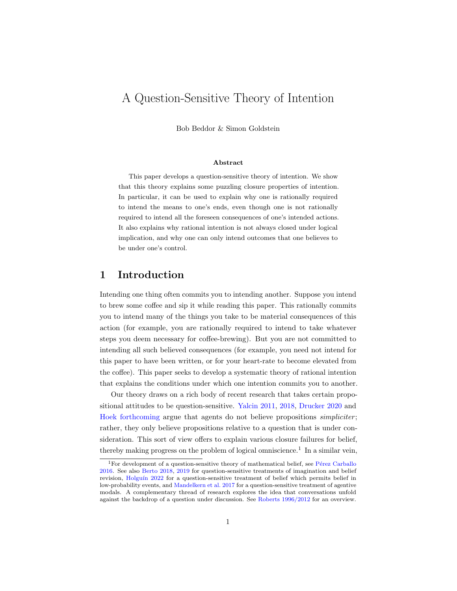# A Question-Sensitive Theory of Intention

Bob Beddor & Simon Goldstein

#### Abstract

This paper develops a question-sensitive theory of intention. We show that this theory explains some puzzling closure properties of intention. In particular, it can be used to explain why one is rationally required to intend the means to one's ends, even though one is not rationally required to intend all the foreseen consequences of one's intended actions. It also explains why rational intention is not always closed under logical implication, and why one can only intend outcomes that one believes to be under one's control.

## 1 Introduction

Intending one thing often commits you to intending another. Suppose you intend to brew some coffee and sip it while reading this paper. This rationally commits you to intend many of the things you take to be material consequences of this action (for example, you are rationally required to intend to take whatever steps you deem necessary for coffee-brewing). But you are not committed to intending all such believed consequences (for example, you need not intend for this paper to have been written, or for your heart-rate to become elevated from the coffee). This paper seeks to develop a systematic theory of rational intention that explains the conditions under which one intention commits you to another.

Our theory draws on a rich body of recent research that takes certain propositional attitudes to be question-sensitive. [Yalcin](#page-38-0) [2011,](#page-38-0) [2018,](#page-38-1) [Drucker](#page-34-0) [2020](#page-34-0) and [Hoek](#page-35-0) [forthcoming](#page-35-0) argue that agents do not believe propositions *simpliciter*; rather, they only believe propositions relative to a question that is under consideration. This sort of view offers to explain various closure failures for belief, thereby making progress on the problem of logical omniscience.<sup>[1](#page-0-0)</sup> In a similar vein,

<span id="page-0-0"></span> $1$ For development of a question-sensitive theory of mathematical belief, see Pérez Carballo [2016.](#page-37-0) See also [Berto](#page-34-1) [2018,](#page-34-1) [2019](#page-34-2) for question-sensitive treatments of imagination and belief revision, Holguín [2022](#page-35-1) for a question-sensitive treatment of belief which permits belief in low-probability events, and [Mandelkern et al.](#page-36-0) [2017](#page-36-0) for a question-sensitive treatment of agentive modals. A complementary thread of research explores the idea that conversations unfold against the backdrop of a question under discussion. See [Roberts](#page-37-1) [1996/2012](#page-37-1) for an overview.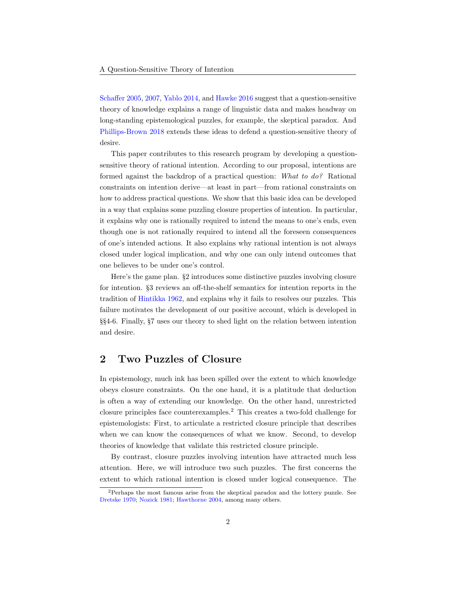[Schaffer](#page-37-2) [2005,](#page-37-2) [2007,](#page-37-3) [Yablo](#page-38-2) [2014,](#page-38-2) and [Hawke](#page-35-2) [2016](#page-35-2) suggest that a question-sensitive theory of knowledge explains a range of linguistic data and makes headway on long-standing epistemological puzzles, for example, the skeptical paradox. And [Phillips-Brown](#page-37-4) [2018](#page-37-4) extends these ideas to defend a question-sensitive theory of desire.

This paper contributes to this research program by developing a questionsensitive theory of rational intention. According to our proposal, intentions are formed against the backdrop of a practical question: What to do? Rational constraints on intention derive—at least in part—from rational constraints on how to address practical questions. We show that this basic idea can be developed in a way that explains some puzzling closure properties of intention. In particular, it explains why one is rationally required to intend the means to one's ends, even though one is not rationally required to intend all the foreseen consequences of one's intended actions. It also explains why rational intention is not always closed under logical implication, and why one can only intend outcomes that one believes to be under one's control.

Here's the game plan. §2 introduces some distinctive puzzles involving closure for intention. §3 reviews an off-the-shelf semantics for intention reports in the tradition of [Hintikka](#page-35-3) [1962,](#page-35-3) and explains why it fails to resolves our puzzles. This failure motivates the development of our positive account, which is developed in §§4-6. Finally, §7 uses our theory to shed light on the relation between intention and desire.

## 2 Two Puzzles of Closure

In epistemology, much ink has been spilled over the extent to which knowledge obeys closure constraints. On the one hand, it is a platitude that deduction is often a way of extending our knowledge. On the other hand, unrestricted closure principles face counterexamples.[2](#page-1-0) This creates a two-fold challenge for epistemologists: First, to articulate a restricted closure principle that describes when we can know the consequences of what we know. Second, to develop theories of knowledge that validate this restricted closure principle.

By contrast, closure puzzles involving intention have attracted much less attention. Here, we will introduce two such puzzles. The first concerns the extent to which rational intention is closed under logical consequence. The

<span id="page-1-0"></span><sup>2</sup>Perhaps the most famous arise from the skeptical paradox and the lottery puzzle. See [Dretske](#page-34-3) [1970;](#page-34-3) [Nozick](#page-36-1) [1981;](#page-36-1) [Hawthorne](#page-35-4) [2004,](#page-35-4) among many others.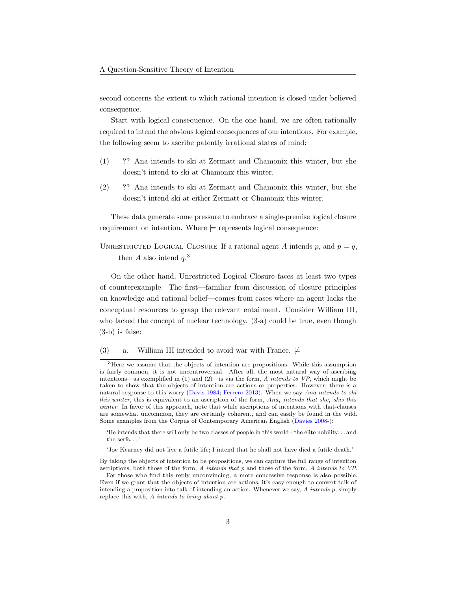second concerns the extent to which rational intention is closed under believed consequence.

Start with logical consequence. On the one hand, we are often rationally required to intend the obvious logical consequences of our intentions. For example, the following seem to ascribe patently irrational states of mind:

- <span id="page-2-3"></span><span id="page-2-2"></span>(1) ?? Ana intends to ski at Zermatt and Chamonix this winter, but she doesn't intend to ski at Chamonix this winter.
- (2) ?? Ana intends to ski at Zermatt and Chamonix this winter, but she doesn't intend ski at either Zermatt or Chamonix this winter.

These data generate some pressure to embrace a single-premise logical closure requirement on intention. Where  $\models$  represents logical consequence:

UNRESTRICTED LOGICAL CLOSURE If a rational agent A intends p, and  $p \models q$ , then A also intend  $q^3$  $q^3$ .

On the other hand, Unrestricted Logical Closure faces at least two types of counterexample. The first—familiar from discussion of closure principles on knowledge and rational belief—comes from cases where an agent lacks the conceptual resources to grasp the relevant entailment. Consider William III, who lacked the concept of nuclear technology. [\(3-a\)](#page-2-1) could be true, even though [\(3-b\)](#page-3-0) is false:

<span id="page-2-4"></span><span id="page-2-1"></span>(3) a. William III intended to avoid war with France.  $\not\models$ 

'Joe Kearney did not live a futile life; I intend that he shall not have died a futile death.'

<span id="page-2-0"></span><sup>3</sup>Here we assume that the objects of intention are propositions. While this assumption is fairly common, it is not uncontroversial. After all, the most natural way of ascribing intentions—as exemplified in  $(1)$  and  $(2)$ —is via the form, A intends to VP, which might be taken to show that the objects of intention are actions or properties. However, there is a natural response to this worry [\(Davis](#page-34-4) [1984;](#page-34-4) [Ferrero](#page-35-5) [2013\)](#page-35-5). When we say Ana intends to ski this winter, this is equivalent to an ascription of the form,  $Ana<sub>i</sub>$  intends that she<sub>i</sub> skis this winter. In favor of this approach, note that while ascriptions of intentions with that-clauses are somewhat uncommon, they are certainly coherent, and can easily be found in the wild. Some examples from the Corpus of Contemporary American English [\(Davies](#page-34-5) [2008-\)](#page-34-5):

<sup>&#</sup>x27;He intends that there will only be two classes of people in this world - the elite nobility. . . and the serfs. . . '

By taking the objects of intention to be propositions, we can capture the full range of intention ascriptions, both those of the form, A intends that p and those of the form, A intends to VP.

For those who find this reply unconvincing, a more concessive response is also possible. Even if we grant that the objects of intention are actions, it's easy enough to convert talk of intending a proposition into talk of intending an action. Whenever we say, A intends p, simply replace this with, A intends to bring about p.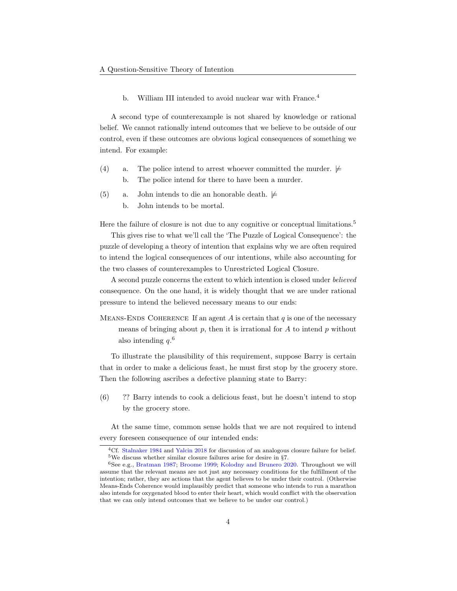b. William III intended to avoid nuclear war with France.<sup>[4](#page-3-1)</sup>

<span id="page-3-0"></span>A second type of counterexample is not shared by knowledge or rational belief. We cannot rationally intend outcomes that we believe to be outside of our control, even if these outcomes are obvious logical consequences of something we intend. For example:

- <span id="page-3-8"></span><span id="page-3-5"></span><span id="page-3-4"></span>(4) a. The police intend to arrest whoever committed the murder.  $\not\models$ b. The police intend for there to have been a murder.
- <span id="page-3-9"></span><span id="page-3-7"></span><span id="page-3-6"></span>(5) a. John intends to die an honorable death.  $\not\models$ 
	- b. John intends to be mortal.

Here the failure of closure is not due to any cognitive or conceptual limitations.<sup>[5](#page-3-2)</sup>

This gives rise to what we'll call the 'The Puzzle of Logical Consequence': the puzzle of developing a theory of intention that explains why we are often required to intend the logical consequences of our intentions, while also accounting for the two classes of counterexamples to Unrestricted Logical Closure.

A second puzzle concerns the extent to which intention is closed under believed consequence. On the one hand, it is widely thought that we are under rational pressure to intend the believed necessary means to our ends:

MEANS-ENDS COHERENCE If an agent A is certain that q is one of the necessary means of bringing about  $p$ , then it is irrational for  $A$  to intend  $p$  without also intending  $q^{6}$  $q^{6}$  $q^{6}$ .

To illustrate the plausibility of this requirement, suppose Barry is certain that in order to make a delicious feast, he must first stop by the grocery store. Then the following ascribes a defective planning state to Barry:

(6) ?? Barry intends to cook a delicious feast, but he doesn't intend to stop by the grocery store.

At the same time, common sense holds that we are not required to intend every foreseen consequence of our intended ends:

<span id="page-3-2"></span><span id="page-3-1"></span><sup>4</sup>Cf. [Stalnaker](#page-37-5) [1984](#page-37-5) and [Yalcin](#page-38-1) [2018](#page-38-1) for discussion of an analogous closure failure for belief. <sup>5</sup>We discuss whether similar closure failures arise for desire in §7.

<span id="page-3-3"></span><sup>6</sup>See e.g., [Bratman](#page-34-6) [1987;](#page-34-6) [Broome](#page-34-7) [1999;](#page-34-7) [Kolodny and Brunero](#page-36-2) [2020.](#page-36-2) Throughout we will assume that the relevant means are not just any necessary conditions for the fulfillment of the intention; rather, they are actions that the agent believes to be under their control. (Otherwise Means-Ends Coherence would implausibly predict that someone who intends to run a marathon also intends for oxygenated blood to enter their heart, which would conflict with the observation that we can only intend outcomes that we believe to be under our control.)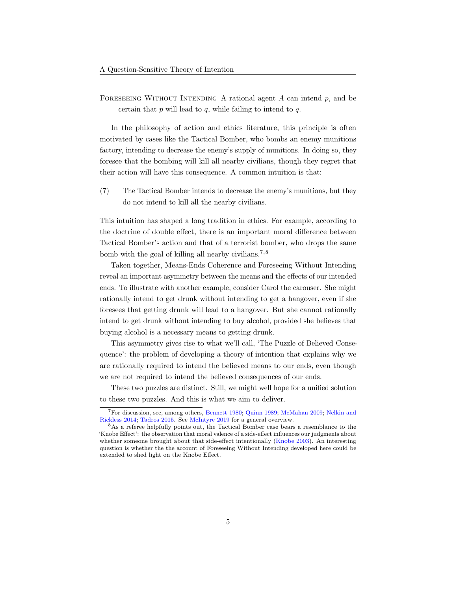FORESEEING WITHOUT INTENDING A rational agent  $A$  can intend  $p$ , and be certain that  $p$  will lead to  $q$ , while failing to intend to  $q$ .

In the philosophy of action and ethics literature, this principle is often motivated by cases like the Tactical Bomber, who bombs an enemy munitions factory, intending to decrease the enemy's supply of munitions. In doing so, they foresee that the bombing will kill all nearby civilians, though they regret that their action will have this consequence. A common intuition is that:

(7) The Tactical Bomber intends to decrease the enemy's munitions, but they do not intend to kill all the nearby civilians.

This intuition has shaped a long tradition in ethics. For example, according to the doctrine of double effect, there is an important moral difference between Tactical Bomber's action and that of a terrorist bomber, who drops the same bomb with the goal of killing all nearby civilians.<sup>[7](#page-4-0),[8](#page-4-1)</sup>

Taken together, Means-Ends Coherence and Foreseeing Without Intending reveal an important asymmetry between the means and the effects of our intended ends. To illustrate with another example, consider Carol the carouser. She might rationally intend to get drunk without intending to get a hangover, even if she foresees that getting drunk will lead to a hangover. But she cannot rationally intend to get drunk without intending to buy alcohol, provided she believes that buying alcohol is a necessary means to getting drunk.

This asymmetry gives rise to what we'll call, 'The Puzzle of Believed Consequence': the problem of developing a theory of intention that explains why we are rationally required to intend the believed means to our ends, even though we are not required to intend the believed consequences of our ends.

These two puzzles are distinct. Still, we might well hope for a unified solution to these two puzzles. And this is what we aim to deliver.

<span id="page-4-0"></span><sup>7</sup>For discussion, see, among others, [Bennett](#page-34-8) [1980;](#page-34-8) [Quinn](#page-37-6) [1989;](#page-37-6) [McMahan](#page-36-3) [2009;](#page-36-3) [Nelkin and](#page-36-4) [Rickless](#page-36-4) [2014;](#page-36-4) [Tadros](#page-37-7) [2015.](#page-37-7) See [McIntyre](#page-36-5) [2019](#page-36-5) for a general overview.

<span id="page-4-1"></span><sup>8</sup>As a referee helpfully points out, the Tactical Bomber case bears a resemblance to the 'Knobe Effect': the observation that moral valence of a side-effect influences our judgments about whether someone brought about that side-effect intentionally [\(Knobe](#page-36-6) [2003\)](#page-36-6). An interesting question is whether the the account of Foreseeing Without Intending developed here could be extended to shed light on the Knobe Effect.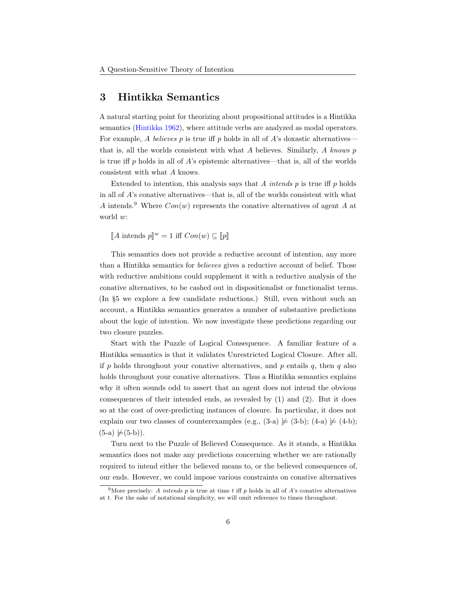### 3 Hintikka Semantics

A natural starting point for theorizing about propositional attitudes is a Hintikka semantics [\(Hintikka](#page-35-3) [1962\)](#page-35-3), where attitude verbs are analyzed as modal operators. For example, A believes  $p$  is true iff  $p$  holds in all of  $A$ 's doxastic alternatives that is, all the worlds consistent with what  $A$  believes. Similarly,  $A$  knows  $p$ is true iff p holds in all of  $\vec{A}$ 's epistemic alternatives—that is, all of the worlds consistent with what A knows.

Extended to intention, this analysis says that  $A$  intends  $p$  is true iff  $p$  holds in all of  $A$ 's conative alternatives—that is, all of the worlds consistent with what A intends.<sup>[9](#page-5-0)</sup> Where  $Con(w)$  represents the conative alternatives of agent A at world w:

 $\llbracket A \text{ intends } p \rrbracket^w = 1 \text{ iff } Con(w) \subseteq \llbracket p \rrbracket$ 

This semantics does not provide a reductive account of intention, any more than a Hintikka semantics for believes gives a reductive account of belief. Those with reductive ambitions could supplement it with a reductive analysis of the conative alternatives, to be cashed out in dispositionalist or functionalist terms. (In §5 we explore a few candidate reductions.) Still, even without such an account, a Hintikka semantics generates a number of substantive predictions about the logic of intention. We now investigate these predictions regarding our two closure puzzles.

Start with the Puzzle of Logical Consequence. A familiar feature of a Hintikka semantics is that it validates Unrestricted Logical Closure. After all, if p holds throughout your conative alternatives, and p entails  $q$ , then  $q$  also holds throughout your conative alternatives. Thus a Hintikka semantics explains why it often sounds odd to assert that an agent does not intend the obvious consequences of their intended ends, as revealed by [\(1\)](#page-2-2) and [\(2\).](#page-2-3) But it does so at the cost of over-predicting instances of closure. In particular, it does not explain our two classes of counterexamples (e.g.,  $(3-a) \not\models (3-b)$  $(3-a) \not\models (3-b)$ ;  $(4-a) \not\models (4-b)$  $(4-a) \not\models (4-b)$ ;  $(5-a) \not\models (5-b)$  $(5-a) \not\models (5-b)$ .

Turn next to the Puzzle of Believed Consequence. As it stands, a Hintikka semantics does not make any predictions concerning whether we are rationally required to intend either the believed means to, or the believed consequences of, our ends. However, we could impose various constraints on conative alternatives

<span id="page-5-0"></span><sup>&</sup>lt;sup>9</sup>More precisely: A *intends* p is true at time t iff p holds in all of A's conative alternatives at t. For the sake of notational simplicity, we will omit reference to times throughout.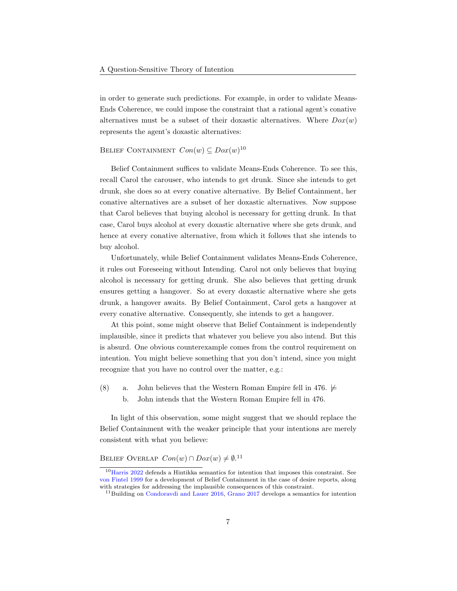in order to generate such predictions. For example, in order to validate Means-Ends Coherence, we could impose the constraint that a rational agent's conative alternatives must be a subset of their doxastic alternatives. Where  $Dox(w)$ represents the agent's doxastic alternatives:

### BELIEF CONTAINMENT  $Con(w) \subseteq Dox(w)^{10}$  $Con(w) \subseteq Dox(w)^{10}$  $Con(w) \subseteq Dox(w)^{10}$

Belief Containment suffices to validate Means-Ends Coherence. To see this, recall Carol the carouser, who intends to get drunk. Since she intends to get drunk, she does so at every conative alternative. By Belief Containment, her conative alternatives are a subset of her doxastic alternatives. Now suppose that Carol believes that buying alcohol is necessary for getting drunk. In that case, Carol buys alcohol at every doxastic alternative where she gets drunk, and hence at every conative alternative, from which it follows that she intends to buy alcohol.

Unfortunately, while Belief Containment validates Means-Ends Coherence, it rules out Foreseeing without Intending. Carol not only believes that buying alcohol is necessary for getting drunk. She also believes that getting drunk ensures getting a hangover. So at every doxastic alternative where she gets drunk, a hangover awaits. By Belief Containment, Carol gets a hangover at every conative alternative. Consequently, she intends to get a hangover.

At this point, some might observe that Belief Containment is independently implausible, since it predicts that whatever you believe you also intend. But this is absurd. One obvious counterexample comes from the control requirement on intention. You might believe something that you don't intend, since you might recognize that you have no control over the matter, e.g.:

- <span id="page-6-2"></span>(8) a. John believes that the Western Roman Empire fell in 476.  $\not\models$ 
	- b. John intends that the Western Roman Empire fell in 476.

In light of this observation, some might suggest that we should replace the Belief Containment with the weaker principle that your intentions are merely consistent with what you believe:

### BELIEF OVERLAP  $Con(w) \cap Dox(w) \neq \emptyset$ .<sup>[11](#page-6-1)</sup>

<span id="page-6-0"></span> $10$ [Harris](#page-35-6) [2022](#page-35-6) defends a Hintikka semantics for intention that imposes this constraint. See [von Fintel](#page-37-8) [1999](#page-37-8) for a development of Belief Containment in the case of desire reports, along with strategies for addressing the implausible consequences of this constraint.

<span id="page-6-1"></span><sup>&</sup>lt;sup>11</sup>Building on [Condoravdi and Lauer](#page-34-9) [2016,](#page-34-9) [Grano](#page-35-7) [2017](#page-35-7) develops a semantics for intention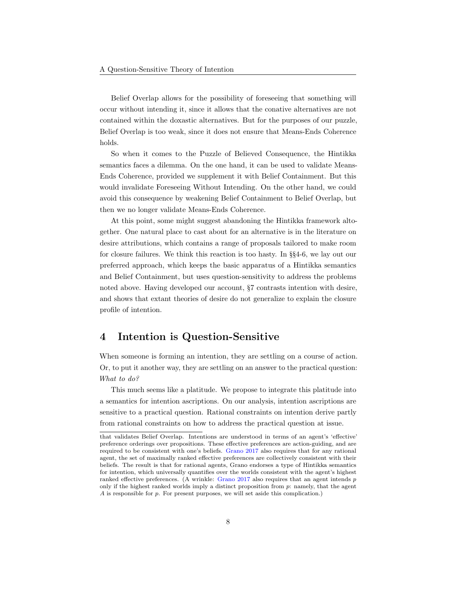Belief Overlap allows for the possibility of foreseeing that something will occur without intending it, since it allows that the conative alternatives are not contained within the doxastic alternatives. But for the purposes of our puzzle, Belief Overlap is too weak, since it does not ensure that Means-Ends Coherence holds.

So when it comes to the Puzzle of Believed Consequence, the Hintikka semantics faces a dilemma. On the one hand, it can be used to validate Means-Ends Coherence, provided we supplement it with Belief Containment. But this would invalidate Foreseeing Without Intending. On the other hand, we could avoid this consequence by weakening Belief Containment to Belief Overlap, but then we no longer validate Means-Ends Coherence.

At this point, some might suggest abandoning the Hintikka framework altogether. One natural place to cast about for an alternative is in the literature on desire attributions, which contains a range of proposals tailored to make room for closure failures. We think this reaction is too hasty. In §§4-6, we lay out our preferred approach, which keeps the basic apparatus of a Hintikka semantics and Belief Containment, but uses question-sensitivity to address the problems noted above. Having developed our account, §7 contrasts intention with desire, and shows that extant theories of desire do not generalize to explain the closure profile of intention.

### 4 Intention is Question-Sensitive

When someone is forming an intention, they are settling on a course of action. Or, to put it another way, they are settling on an answer to the practical question: What to do?

This much seems like a platitude. We propose to integrate this platitude into a semantics for intention ascriptions. On our analysis, intention ascriptions are sensitive to a practical question. Rational constraints on intention derive partly from rational constraints on how to address the practical question at issue.

that validates Belief Overlap. Intentions are understood in terms of an agent's 'effective' preference orderings over propositions. These effective preferences are action-guiding, and are required to be consistent with one's beliefs. [Grano](#page-35-7) [2017](#page-35-7) also requires that for any rational agent, the set of maximally ranked effective preferences are collectively consistent with their beliefs. The result is that for rational agents, Grano endorses a type of Hintikka semantics for intention, which universally quantifies over the worlds consistent with the agent's highest ranked effective preferences. (A wrinkle: [Grano](#page-35-7) [2017](#page-35-7) also requires that an agent intends p only if the highest ranked worlds imply a distinct proposition from p: namely, that the agent A is responsible for p. For present purposes, we will set aside this complication.)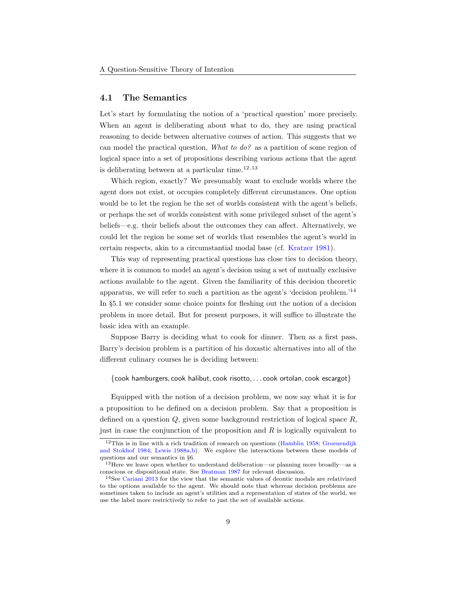#### 4.1 The Semantics

Let's start by formulating the notion of a 'practical question' more precisely. When an agent is deliberating about what to do, they are using practical reasoning to decide between alternative courses of action. This suggests that we can model the practical question, What to do? as a partition of some region of logical space into a set of propositions describing various actions that the agent is deliberating between at a particular time. $12,13$  $12,13$  $12,13$ 

Which region, exactly? We presumably want to exclude worlds where the agent does not exist, or occupies completely different circumstances. One option would be to let the region be the set of worlds consistent with the agent's beliefs, or perhaps the set of worlds consistent with some privileged subset of the agent's beliefs—e.g. their beliefs about the outcomes they can affect. Alternatively, we could let the region be some set of worlds that resembles the agent's world in certain respects, akin to a circumstantial modal base (cf. [Kratzer](#page-36-7) [1981\)](#page-36-7).

This way of representing practical questions has close ties to decision theory, where it is common to model an agent's decision using a set of mutually exclusive actions available to the agent. Given the familiarity of this decision theoretic apparatus, we will refer to such a partition as the agent's 'decision problem.'[14](#page-8-2) In §5.1 we consider some choice points for fleshing out the notion of a decision problem in more detail. But for present purposes, it will suffice to illustrate the basic idea with an example.

Suppose Barry is deciding what to cook for dinner. Then as a first pass, Barry's decision problem is a partition of his doxastic alternatives into all of the different culinary courses he is deciding between:

{cook hamburgers, cook halibut, cook risotto, . . . cook ortolan, cook escargot}

Equipped with the notion of a decision problem, we now say what it is for a proposition to be defined on a decision problem. Say that a proposition is defined on a question  $Q$ , given some background restriction of logical space  $R$ , just in case the conjunction of the proposition and  $R$  is logically equivalent to

<span id="page-8-0"></span><sup>&</sup>lt;sup>12</sup>This is in line with a rich tradition of research on questions [\(Hamblin](#page-35-8) [1958;](#page-35-8) [Groenendijk](#page-35-9) [and Stokhof](#page-35-9) [1984;](#page-35-9) [Lewis](#page-36-8) [1988a,](#page-36-8)[b\)](#page-36-9). We explore the interactions between these models of questions and our semantics in §6.

<span id="page-8-1"></span><sup>&</sup>lt;sup>13</sup> Here we leave open whether to understand deliberation—or planning more broadly—as a conscious or dispositional state. See [Bratman](#page-34-6) [1987](#page-34-6) for relevant discussion.

<span id="page-8-2"></span><sup>14</sup>See [Cariani](#page-34-10) [2013](#page-34-10) for the view that the semantic values of deontic modals are relativized to the options available to the agent. We should note that whereas decision problems are sometimes taken to include an agent's utilities and a representation of states of the world, we use the label more restrictively to refer to just the set of available actions.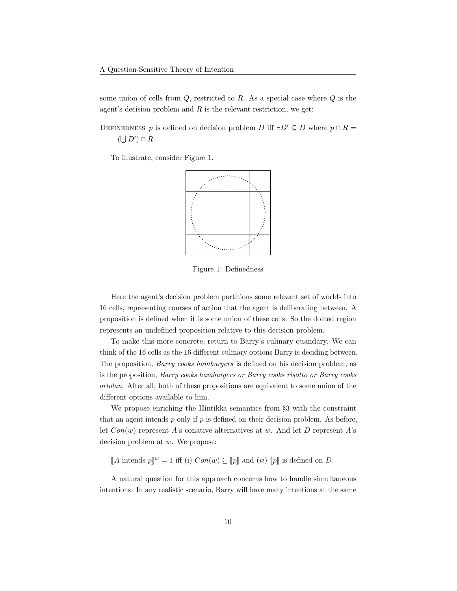some union of cells from  $Q$ , restricted to  $R$ . As a special case where  $Q$  is the agent's decision problem and  $R$  is the relevant restriction, we get:

DEFINEDNESS p is defined on decision problem D iff  $\exists D' \subseteq D$  where  $p \cap R =$  $(\bigcup D') \cap R$ .

To illustrate, consider Figure [1.](#page-9-0)



<span id="page-9-0"></span>Figure 1: Definedness

Here the agent's decision problem partitions some relevant set of worlds into 16 cells, representing courses of action that the agent is deliberating between. A proposition is defined when it is some union of these cells. So the dotted region represents an undefined proposition relative to this decision problem.

To make this more concrete, return to Barry's culinary quandary. We can think of the 16 cells as the 16 different culinary options Barry is deciding between. The proposition, Barry cooks hamburgers is defined on his decision problem, as is the proposition, Barry cooks hamburgers or Barry cooks risotto or Barry cooks ortolan. After all, both of these propositions are equivalent to some union of the different options available to him.

We propose enriching the Hintikka semantics from §3 with the constraint that an agent intends  $p$  only if  $p$  is defined on their decision problem. As before, let  $Con(w)$  represent A's conative alternatives at w. And let D represent A's decision problem at w. We propose:

 $\llbracket A \text{ intends } p \rrbracket^w = 1 \text{ iff (i) } Con(w) \subseteq \llbracket p \rrbracket \text{ and (ii) } \llbracket p \rrbracket \text{ is defined on } D.$ 

A natural question for this approach concerns how to handle simultaneous intentions. In any realistic scenario, Barry will have many intentions at the same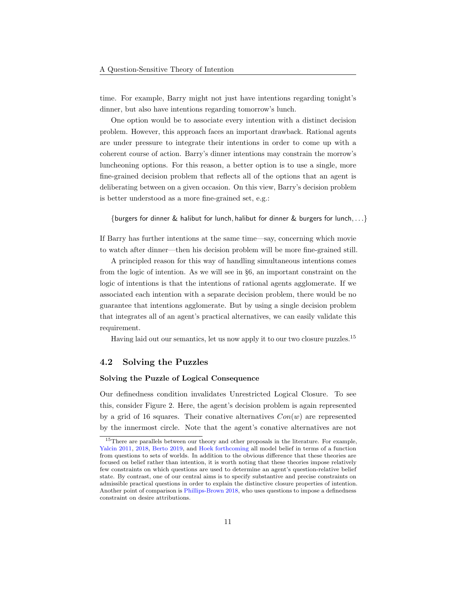time. For example, Barry might not just have intentions regarding tonight's dinner, but also have intentions regarding tomorrow's lunch.

One option would be to associate every intention with a distinct decision problem. However, this approach faces an important drawback. Rational agents are under pressure to integrate their intentions in order to come up with a coherent course of action. Barry's dinner intentions may constrain the morrow's luncheoning options. For this reason, a better option is to use a single, more fine-grained decision problem that reflects all of the options that an agent is deliberating between on a given occasion. On this view, Barry's decision problem is better understood as a more fine-grained set, e.g.:

{burgers for dinner & halibut for lunch, halibut for dinner & burgers for lunch,...}

If Barry has further intentions at the same time—say, concerning which movie to watch after dinner—then his decision problem will be more fine-grained still.

A principled reason for this way of handling simultaneous intentions comes from the logic of intention. As we will see in §6, an important constraint on the logic of intentions is that the intentions of rational agents agglomerate. If we associated each intention with a separate decision problem, there would be no guarantee that intentions agglomerate. But by using a single decision problem that integrates all of an agent's practical alternatives, we can easily validate this requirement.

Having laid out our semantics, let us now apply it to our two closure puzzles.[15](#page-10-0)

#### 4.2 Solving the Puzzles

#### Solving the Puzzle of Logical Consequence

Our definedness condition invalidates Unrestricted Logical Closure. To see this, consider Figure [2.](#page-11-0) Here, the agent's decision problem is again represented by a grid of 16 squares. Their conative alternatives  $Con(w)$  are represented by the innermost circle. Note that the agent's conative alternatives are not

<span id="page-10-0"></span><sup>&</sup>lt;sup>15</sup>There are parallels between our theory and other proposals in the literature. For example, [Yalcin](#page-38-0) [2011,](#page-38-0) [2018,](#page-38-1) [Berto](#page-34-2) [2019,](#page-34-2) and [Hoek](#page-35-0) [forthcoming](#page-35-0) all model belief in terms of a function from questions to sets of worlds. In addition to the obvious difference that these theories are focused on belief rather than intention, it is worth noting that these theories impose relatively few constraints on which questions are used to determine an agent's question-relative belief state. By contrast, one of our central aims is to specify substantive and precise constraints on admissible practical questions in order to explain the distinctive closure properties of intention. Another point of comparison is [Phillips-Brown](#page-37-4) [2018,](#page-37-4) who uses questions to impose a definedness constraint on desire attributions.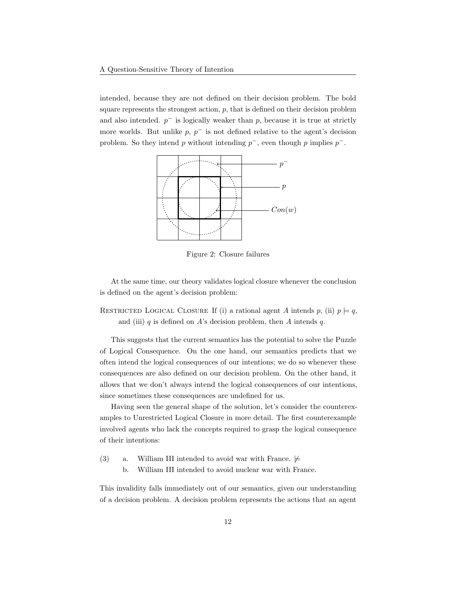intended, because they are not defined on their decision problem. The bold square represents the strongest action,  $p$ , that is defined on their decision problem and also intended.  $p^-$  is logically weaker than p, because it is true at strictly more worlds. But unlike  $p, p^-$  is not defined relative to the agent's decision problem. So they intend p without intending  $p^-$ , even though p implies  $p^-$ .



<span id="page-11-0"></span>Figure 2: Closure failures

At the same time, our theory validates logical closure whenever the conclusion is defined on the agent's decision problem:

RESTRICTED LOGICAL CLOSURE If (i) a rational agent A intends p, (ii)  $p \models q$ , and (iii) q is defined on  $A$ 's decision problem, then  $A$  intends  $q$ .

This suggests that the current semantics has the potential to solve the Puzzle of Logical Consequence. On the one hand, our semantics predicts that we often intend the logical consequences of our intentions; we do so whenever these consequences are also defined on our decision problem. On the other hand, it allows that we don't always intend the logical consequences of our intentions, since sometimes these consequences are undefined for us.

Having seen the general shape of the solution, let's consider the counterexamples to Unrestricted Logical Closure in more detail. The first counterexample involved agents who lack the concepts required to grasp the logical consequence of their intentions:

- [\(3\)](#page-2-4) a. William III intended to avoid war with France.  $\not\models$ 
	- b. William III intended to avoid nuclear war with France.

This invalidity falls immediately out of our semantics, given our understanding of a decision problem. A decision problem represents the actions that an agent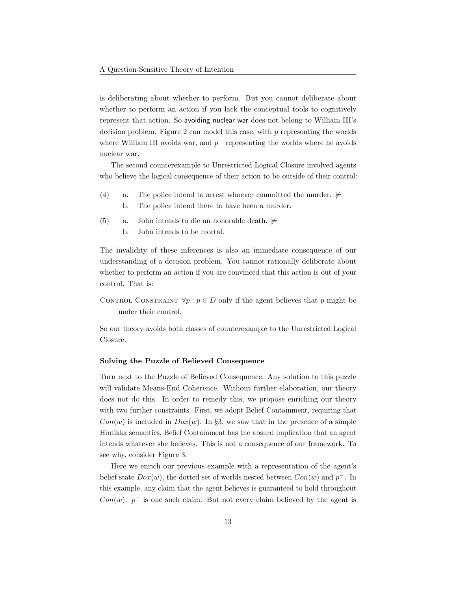is deliberating about whether to perform. But you cannot deliberate about whether to perform an action if you lack the conceptual tools to cognitively represent that action. So avoiding nuclear war does not belong to William III's decision problem. Figure [2](#page-11-0) can model this case, with  $p$  representing the worlds where William III avoids war, and  $p^-$  representing the worlds where he avoids nuclear war.

The second counterexample to Unrestricted Logical Closure involved agents who believe the logical consequence of their action to be outside of their control:

- [\(4\)](#page-3-8) a. The police intend to arrest whoever committed the murder.  $\not\models$ 
	- b. The police intend there to have been a murder.
- [\(5\)](#page-3-9) a. John intends to die an honorable death.  $\not\models$ b. John intends to be mortal.

The invalidity of these inferences is also an immediate consequence of our understanding of a decision problem. You cannot rationally deliberate about whether to perform an action if you are convinced that this action is out of your control. That is:

CONTROL CONSTRAINT  $\forall p : p \in D$  only if the agent believes that p might be under their control.

So our theory avoids both classes of counterexample to the Unrestricted Logical Closure.

#### Solving the Puzzle of Believed Consequence

Turn next to the Puzzle of Believed Consequence. Any solution to this puzzle will validate Means-End Coherence. Without further elaboration, our theory does not do this. In order to remedy this, we propose enriching our theory with two further constraints. First, we adopt Belief Containment, requiring that  $Con(w)$  is included in  $Dox(w)$ . In §3, we saw that in the presence of a simple Hintikka semantics, Belief Containment has the absurd implication that an agent intends whatever she believes. This is not a consequence of our framework. To see why, consider Figure [3.](#page-13-0)

Here we enrich our previous example with a representation of the agent's belief state  $Dox(w)$ , the dotted set of worlds nested between  $Con(w)$  and  $p^{-}$ . In this example, any claim that the agent believes is guaranteed to hold throughout  $Con(w)$ .  $p^-$  is one such claim. But not every claim believed by the agent is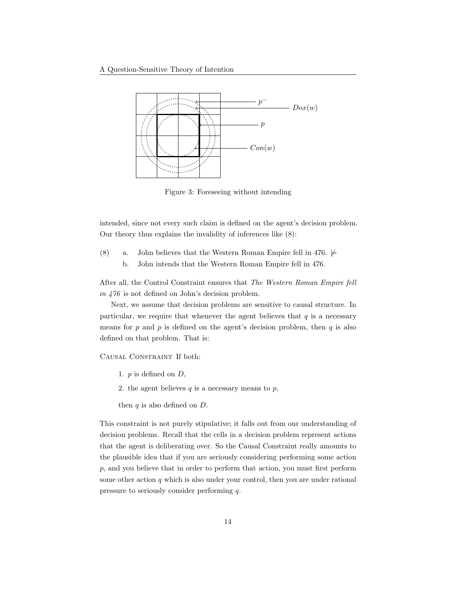

<span id="page-13-0"></span>Figure 3: Foreseeing without intending

intended, since not every such claim is defined on the agent's decision problem. Our theory thus explains the invalidity of inferences like [\(8\):](#page-6-2)

<span id="page-13-2"></span><span id="page-13-1"></span>[\(8\)](#page-6-2) a. John believes that the Western Roman Empire fell in 476.  $\not\models$ b. John intends that the Western Roman Empire fell in 476.

After all, the Control Constraint ensures that The Western Roman Empire fell in 476 is not defined on John's decision problem.

Next, we assume that decision problems are sensitive to causal structure. In particular, we require that whenever the agent believes that  $q$  is a necessary means for  $p$  and  $p$  is defined on the agent's decision problem, then  $q$  is also defined on that problem. That is:

Causal Constraint If both:

- 1.  $p$  is defined on  $D$ ,
- 2. the agent believes  $q$  is a necessary means to  $p$ ,
- then  $q$  is also defined on  $D$ .

This constraint is not purely stipulative; it falls out from our understanding of decision problems. Recall that the cells in a decision problem represent actions that the agent is deliberating over. So the Causal Constraint really amounts to the plausible idea that if you are seriously considering performing some action p, and you believe that in order to perform that action, you must first perform some other action  $q$  which is also under your control, then you are under rational pressure to seriously consider performing q.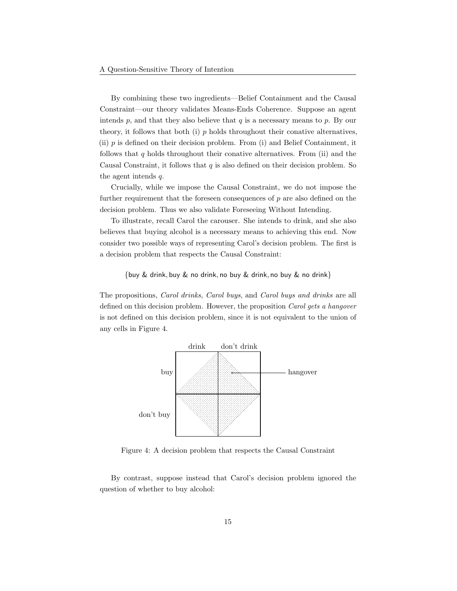By combining these two ingredients—Belief Containment and the Causal Constraint—our theory validates Means-Ends Coherence. Suppose an agent intends  $p$ , and that they also believe that  $q$  is a necessary means to  $p$ . By our theory, it follows that both (i)  $p$  holds throughout their conative alternatives, (ii)  $p$  is defined on their decision problem. From (i) and Belief Containment, it follows that q holds throughout their conative alternatives. From (ii) and the Causal Constraint, it follows that  $q$  is also defined on their decision problem. So the agent intends q.

Crucially, while we impose the Causal Constraint, we do not impose the further requirement that the foreseen consequences of  $p$  are also defined on the decision problem. Thus we also validate Foreseeing Without Intending.

To illustrate, recall Carol the carouser. She intends to drink, and she also believes that buying alcohol is a necessary means to achieving this end. Now consider two possible ways of representing Carol's decision problem. The first is a decision problem that respects the Causal Constraint:

#### {buy & drink, buy & no drink, no buy & drink, no buy & no drink}

The propositions, Carol drinks, Carol buys, and Carol buys and drinks are all defined on this decision problem. However, the proposition Carol gets a hangover is not defined on this decision problem, since it is not equivalent to the union of any cells in Figure [4.](#page-14-0)



<span id="page-14-0"></span>Figure 4: A decision problem that respects the Causal Constraint

By contrast, suppose instead that Carol's decision problem ignored the question of whether to buy alcohol: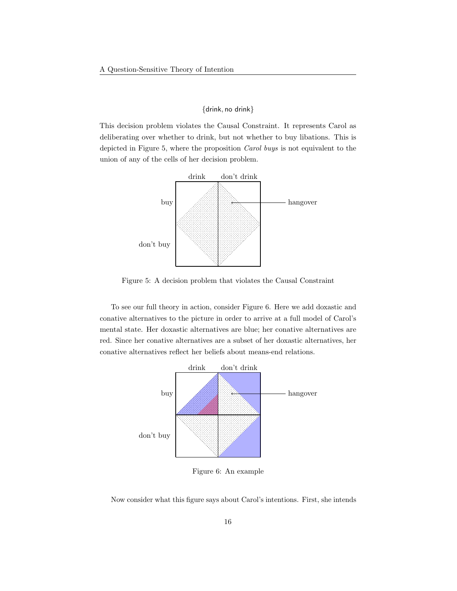#### {drink, no drink}

This decision problem violates the Causal Constraint. It represents Carol as deliberating over whether to drink, but not whether to buy libations. This is depicted in Figure [5,](#page-15-0) where the proposition Carol buys is not equivalent to the union of any of the cells of her decision problem.



<span id="page-15-0"></span>Figure 5: A decision problem that violates the Causal Constraint

To see our full theory in action, consider Figure [6.](#page-15-1) Here we add doxastic and conative alternatives to the picture in order to arrive at a full model of Carol's mental state. Her doxastic alternatives are blue; her conative alternatives are red. Since her conative alternatives are a subset of her doxastic alternatives, her conative alternatives reflect her beliefs about means-end relations.



<span id="page-15-1"></span>Figure 6: An example

Now consider what this figure says about Carol's intentions. First, she intends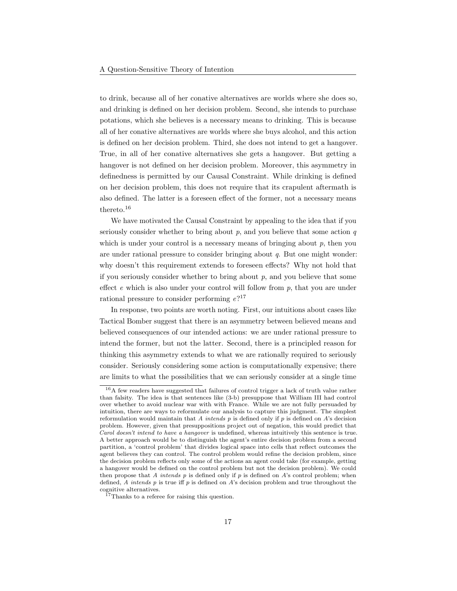to drink, because all of her conative alternatives are worlds where she does so, and drinking is defined on her decision problem. Second, she intends to purchase potations, which she believes is a necessary means to drinking. This is because all of her conative alternatives are worlds where she buys alcohol, and this action is defined on her decision problem. Third, she does not intend to get a hangover. True, in all of her conative alternatives she gets a hangover. But getting a hangover is not defined on her decision problem. Moreover, this asymmetry in definedness is permitted by our Causal Constraint. While drinking is defined on her decision problem, this does not require that its crapulent aftermath is also defined. The latter is a foreseen effect of the former, not a necessary means thereto.[16](#page-16-0)

We have motivated the Causal Constraint by appealing to the idea that if you seriously consider whether to bring about  $p$ , and you believe that some action  $q$ which is under your control is a necessary means of bringing about  $p$ , then you are under rational pressure to consider bringing about q. But one might wonder: why doesn't this requirement extends to foreseen effects? Why not hold that if you seriously consider whether to bring about  $p$ , and you believe that some effect  $e$  which is also under your control will follow from  $p$ , that you are under rational pressure to consider performing  $e^{i}$ <sup>[17](#page-16-1)</sup>

In response, two points are worth noting. First, our intuitions about cases like Tactical Bomber suggest that there is an asymmetry between believed means and believed consequences of our intended actions: we are under rational pressure to intend the former, but not the latter. Second, there is a principled reason for thinking this asymmetry extends to what we are rationally required to seriously consider. Seriously considering some action is computationally expensive; there are limits to what the possibilities that we can seriously consider at a single time

<span id="page-16-0"></span><sup>&</sup>lt;sup>16</sup>A few readers have suggested that failures of control trigger a lack of truth value rather than falsity. The idea is that sentences like [\(3-b\)](#page-3-0) presuppose that William III had control over whether to avoid nuclear war with with France. While we are not fully persuaded by intuition, there are ways to reformulate our analysis to capture this judgment. The simplest reformulation would maintain that A intends  $p$  is defined only if  $p$  is defined on  $A$ 's decision problem. However, given that presuppositions project out of negation, this would predict that Carol doesn't intend to have a hangover is undefined, whereas intuitively this sentence is true. A better approach would be to distinguish the agent's entire decision problem from a second partition, a 'control problem' that divides logical space into cells that reflect outcomes the agent believes they can control. The control problem would refine the decision problem, since the decision problem reflects only some of the actions an agent could take (for example, getting a hangover would be defined on the control problem but not the decision problem). We could then propose that  $A$  intends  $p$  is defined only if  $p$  is defined on  $A$ 's control problem; when defined, A intends  $p$  is true iff  $p$  is defined on  $A$ 's decision problem and true throughout the cognitive alternatives.

<span id="page-16-1"></span><sup>&</sup>lt;sup>17</sup>Thanks to a referee for raising this question.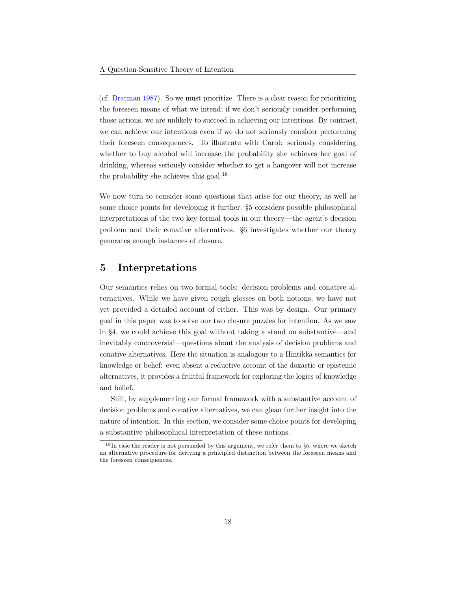(cf. [Bratman](#page-34-6) [1987\)](#page-34-6). So we must prioritize. There is a clear reason for prioritizing the foreseen means of what we intend; if we don't seriously consider performing those actions, we are unlikely to succeed in achieving our intentions. By contrast, we can achieve our intentions even if we do not seriously consider performing their foreseen consequences. To illustrate with Carol: seriously considering whether to buy alcohol will increase the probability she achieves her goal of drinking, whereas seriously consider whether to get a hangover will not increase the probability she achieves this goal.[18](#page-17-0)

We now turn to consider some questions that arise for our theory, as well as some choice points for developing it further. §5 considers possible philosophical interpretations of the two key formal tools in our theory—the agent's decision problem and their conative alternatives. §6 investigates whether our theory generates enough instances of closure.

## 5 Interpretations

Our semantics relies on two formal tools: decision problems and conative alternatives. While we have given rough glosses on both notions, we have not yet provided a detailed account of either. This was by design. Our primary goal in this paper was to solve our two closure puzzles for intention. As we saw in §4, we could achieve this goal without taking a stand on substantive—and inevitably controversial—questions about the analysis of decision problems and conative alternatives. Here the situation is analogous to a Hintikka semantics for knowledge or belief: even absent a reductive account of the doxastic or epistemic alternatives, it provides a fruitful framework for exploring the logics of knowledge and belief.

Still, by supplementing our formal framework with a substantive account of decision problems and conative alternatives, we can glean further insight into the nature of intention. In this section, we consider some choice points for developing a substantive philosophical interpretation of these notions.

<span id="page-17-0"></span><sup>18</sup>In case the reader is not persuaded by this argument, we refer them to §5, where we sketch an alternative procedure for deriving a principled distinction between the foreseen means and the foreseen consequences.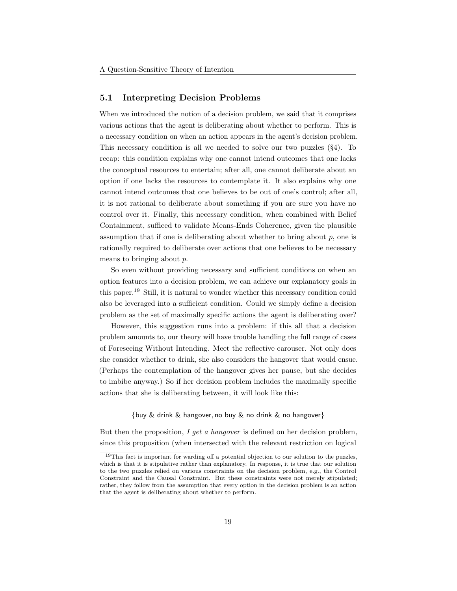#### 5.1 Interpreting Decision Problems

When we introduced the notion of a decision problem, we said that it comprises various actions that the agent is deliberating about whether to perform. This is a necessary condition on when an action appears in the agent's decision problem. This necessary condition is all we needed to solve our two puzzles (§4). To recap: this condition explains why one cannot intend outcomes that one lacks the conceptual resources to entertain; after all, one cannot deliberate about an option if one lacks the resources to contemplate it. It also explains why one cannot intend outcomes that one believes to be out of one's control; after all, it is not rational to deliberate about something if you are sure you have no control over it. Finally, this necessary condition, when combined with Belief Containment, sufficed to validate Means-Ends Coherence, given the plausible assumption that if one is deliberating about whether to bring about  $p$ , one is rationally required to deliberate over actions that one believes to be necessary means to bringing about p.

So even without providing necessary and sufficient conditions on when an option features into a decision problem, we can achieve our explanatory goals in this paper.[19](#page-18-0) Still, it is natural to wonder whether this necessary condition could also be leveraged into a sufficient condition. Could we simply define a decision problem as the set of maximally specific actions the agent is deliberating over?

However, this suggestion runs into a problem: if this all that a decision problem amounts to, our theory will have trouble handling the full range of cases of Foreseeing Without Intending. Meet the reflective carouser. Not only does she consider whether to drink, she also considers the hangover that would ensue. (Perhaps the contemplation of the hangover gives her pause, but she decides to imbibe anyway.) So if her decision problem includes the maximally specific actions that she is deliberating between, it will look like this:

#### {buy & drink & hangover, no buy & no drink & no hangover}

But then the proposition,  $I$  get a hangover is defined on her decision problem, since this proposition (when intersected with the relevant restriction on logical

<span id="page-18-0"></span><sup>&</sup>lt;sup>19</sup>This fact is important for warding off a potential objection to our solution to the puzzles, which is that it is stipulative rather than explanatory. In response, it is true that our solution to the two puzzles relied on various constraints on the decision problem, e.g., the Control Constraint and the Causal Constraint. But these constraints were not merely stipulated; rather, they follow from the assumption that every option in the decision problem is an action that the agent is deliberating about whether to perform.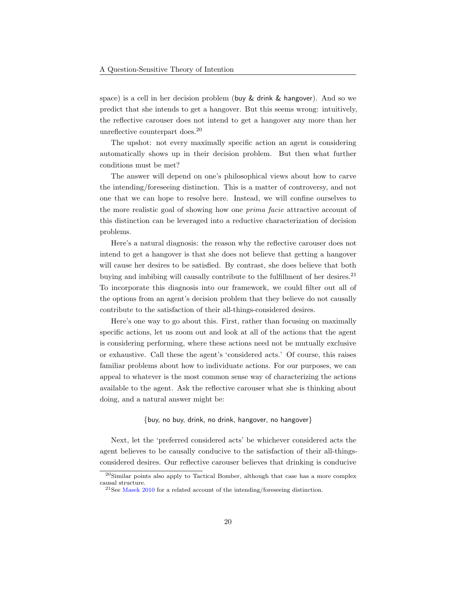space) is a cell in her decision problem (buy & drink & hangover). And so we predict that she intends to get a hangover. But this seems wrong: intuitively, the reflective carouser does not intend to get a hangover any more than her unreflective counterpart does.[20](#page-19-0)

The upshot: not every maximally specific action an agent is considering automatically shows up in their decision problem. But then what further conditions must be met?

The answer will depend on one's philosophical views about how to carve the intending/foreseeing distinction. This is a matter of controversy, and not one that we can hope to resolve here. Instead, we will confine ourselves to the more realistic goal of showing how one prima facie attractive account of this distinction can be leveraged into a reductive characterization of decision problems.

Here's a natural diagnosis: the reason why the reflective carouser does not intend to get a hangover is that she does not believe that getting a hangover will cause her desires to be satisfied. By contrast, she does believe that both buying and imbibing will causally contribute to the fulfillment of her desires. $^{21}$  $^{21}$  $^{21}$ To incorporate this diagnosis into our framework, we could filter out all of the options from an agent's decision problem that they believe do not causally contribute to the satisfaction of their all-things-considered desires.

Here's one way to go about this. First, rather than focusing on maximally specific actions, let us zoom out and look at all of the actions that the agent is considering performing, where these actions need not be mutually exclusive or exhaustive. Call these the agent's 'considered acts.' Of course, this raises familiar problems about how to individuate actions. For our purposes, we can appeal to whatever is the most common sense way of characterizing the actions available to the agent. Ask the reflective carouser what she is thinking about doing, and a natural answer might be:

#### {buy, no buy, drink, no drink, hangover, no hangover}

Next, let the 'preferred considered acts' be whichever considered acts the agent believes to be causally conducive to the satisfaction of their all-thingsconsidered desires. Our reflective carouser believes that drinking is conducive

<span id="page-19-0"></span><sup>20</sup>Similar points also apply to Tactical Bomber, although that case has a more complex causal structure.

<span id="page-19-1"></span><sup>&</sup>lt;sup>21</sup>See [Masek](#page-36-10) [2010](#page-36-10) for a related account of the intending/foreseeing distinction.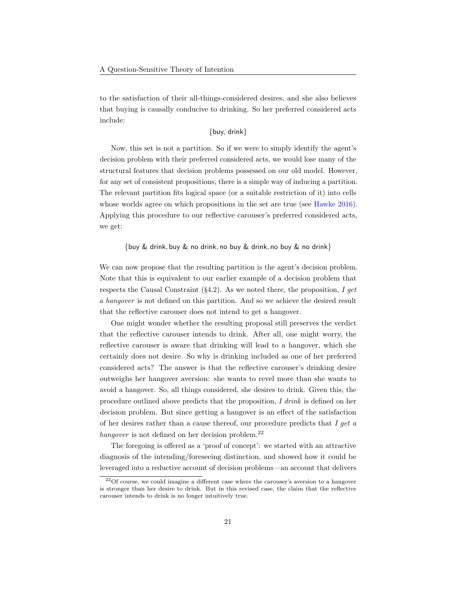to the satisfaction of their all-things-considered desires, and she also believes that buying is causally conducive to drinking. So her preferred considered acts include:

{buy, drink}

Now, this set is not a partition. So if we were to simply identify the agent's decision problem with their preferred considered acts, we would lose many of the structural features that decision problems possessed on our old model. However, for any set of consistent propositions, there is a simple way of inducing a partition. The relevant partition fits logical space (or a suitable restriction of it) into cells whose worlds agree on which propositions in the set are true (see [Hawke](#page-35-2) [2016\)](#page-35-2). Applying this procedure to our reflective carouser's preferred considered acts, we get:

{buy & drink, buy & no drink, no buy & drink, no buy & no drink}

We can now propose that the resulting partition is the agent's decision problem. Note that this is equivalent to our earlier example of a decision problem that respects the Causal Constraint  $(\S 4.2)$ . As we noted there, the proposition, I get a hangover is not defined on this partition. And so we achieve the desired result that the reflective carouser does not intend to get a hangover.

One might wonder whether the resulting proposal still preserves the verdict that the reflective carouser intends to drink. After all, one might worry, the reflective carouser is aware that drinking will lead to a hangover, which she certainly does not desire. So why is drinking included as one of her preferred considered acts? The answer is that the reflective carouser's drinking desire outweighs her hangover aversion: she wants to revel more than she wants to avoid a hangover. So, all things considered, she desires to drink. Given this, the procedure outlined above predicts that the proposition, I drink is defined on her decision problem. But since getting a hangover is an effect of the satisfaction of her desires rather than a cause thereof, our procedure predicts that I get a hangover is not defined on her decision problem. $^{22}$  $^{22}$  $^{22}$ 

The foregoing is offered as a 'proof of concept': we started with an attractive diagnosis of the intending/foreseeing distinction, and showed how it could be leveraged into a reductive account of decision problems—an account that delivers

<span id="page-20-0"></span><sup>22</sup>Of course, we could imagine a different case where the carouser's aversion to a hangover is stronger than her desire to drink. But in this revised case, the claim that the reflective carouser intends to drink is no longer intuitively true.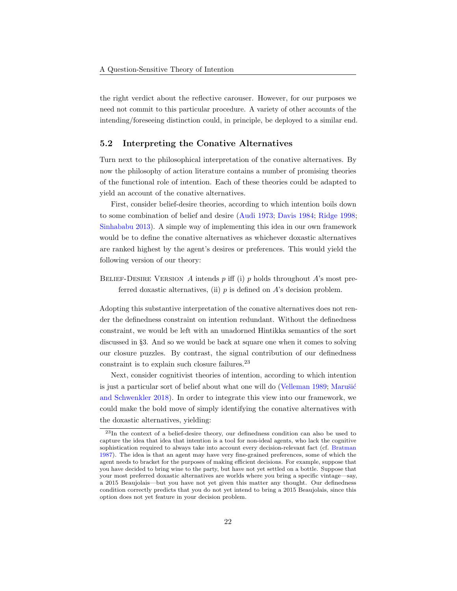the right verdict about the reflective carouser. However, for our purposes we need not commit to this particular procedure. A variety of other accounts of the intending/foreseeing distinction could, in principle, be deployed to a similar end.

#### 5.2 Interpreting the Conative Alternatives

Turn next to the philosophical interpretation of the conative alternatives. By now the philosophy of action literature contains a number of promising theories of the functional role of intention. Each of these theories could be adapted to yield an account of the conative alternatives.

First, consider belief-desire theories, according to which intention boils down to some combination of belief and desire [\(Audi](#page-34-11) [1973;](#page-34-11) [Davis](#page-34-4) [1984;](#page-34-4) [Ridge](#page-37-9) [1998;](#page-37-9) [Sinhababu](#page-37-10) [2013\)](#page-37-10). A simple way of implementing this idea in our own framework would be to define the conative alternatives as whichever doxastic alternatives are ranked highest by the agent's desires or preferences. This would yield the following version of our theory:

BELIEF-DESIRE VERSION A intends  $p$  iff (i)  $p$  holds throughout A's most preferred doxastic alternatives, (ii)  $p$  is defined on  $A$ 's decision problem.

Adopting this substantive interpretation of the conative alternatives does not render the definedness constraint on intention redundant. Without the definedness constraint, we would be left with an unadorned Hintikka semantics of the sort discussed in §3. And so we would be back at square one when it comes to solving our closure puzzles. By contrast, the signal contribution of our definedness constraint is to explain such closure failures.[23](#page-21-0)

Next, consider cognitivist theories of intention, according to which intention is just a particular sort of belief about what one will do [\(Velleman](#page-37-11) [1989;](#page-37-11) Marušić [and Schwenkler](#page-36-11) [2018\)](#page-36-11). In order to integrate this view into our framework, we could make the bold move of simply identifying the conative alternatives with the doxastic alternatives, yielding:

<span id="page-21-0"></span><sup>23</sup>In the context of a belief-desire theory, our definedness condition can also be used to capture the idea that idea that intention is a tool for non-ideal agents, who lack the cognitive sophistication required to always take into account every decision-relevant fact (cf. [Bratman](#page-34-6) [1987\)](#page-34-6). The idea is that an agent may have very fine-grained preferences, some of which the agent needs to bracket for the purposes of making efficient decisions. For example, suppose that you have decided to bring wine to the party, but have not yet settled on a bottle. Suppose that your most preferred doxastic alternatives are worlds where you bring a specific vintage—say, a 2015 Beaujolais—but you have not yet given this matter any thought. Our definedness condition correctly predicts that you do not yet intend to bring a 2015 Beaujolais, since this option does not yet feature in your decision problem.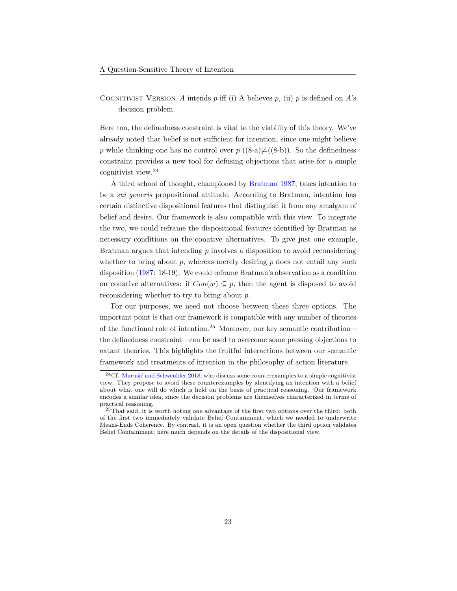COGNITIVIST VERSION A intends  $p$  iff (i) A believes  $p$ , (ii)  $p$  is defined on  $A$ 's decision problem.

Here too, the definedness constraint is vital to the viability of this theory. We've already noted that belief is not sufficient for intention, since one might believe p while thinking one has no control over  $p((8-a)\not\models ((8-b))$  $p((8-a)\not\models ((8-b))$  $p((8-a)\not\models ((8-b))$  $p((8-a)\not\models ((8-b))$ . So the definedness constraint provides a new tool for defusing objections that arise for a simple cognitivist view.[24](#page-22-0)

A third school of thought, championed by [Bratman](#page-34-6) [1987,](#page-34-6) takes intention to be a sui generis propositional attitude. According to Bratman, intention has certain distinctive dispositional features that distinguish it from any amalgam of belief and desire. Our framework is also compatible with this view. To integrate the two, we could reframe the dispositional features identified by Bratman as necessary conditions on the conative alternatives. To give just one example, Bratman argues that intending  $p$  involves a disposition to avoid reconsidering whether to bring about  $p$ , whereas merely desiring  $p$  does not entail any such disposition [\(1987:](#page-34-6) 18-19). We could reframe Bratman's observation as a condition on conative alternatives: if  $Con(w) \subseteq p$ , then the agent is disposed to avoid reconsidering whether to try to bring about p.

For our purposes, we need not choose between these three options. The important point is that our framework is compatible with any number of theories of the functional role of intention.[25](#page-22-1) Moreover, our key semantic contribution the definedness constraint—can be used to overcome some pressing objections to extant theories. This highlights the fruitful interactions between our semantic framework and treatments of intention in the philosophy of action literature.

<span id="page-22-0"></span> $24Cf.$  Marušić and Schwenkler [2018,](#page-36-11) who discuss some counterexamples to a simple cognitivist view. They propose to avoid these counterexamples by identifying an intention with a belief about what one will do which is held on the basis of practical reasoning. Our framework encodes a similar idea, since the decision problems are themselves characterized in terms of practical reasoning.

<span id="page-22-1"></span> $^{25}$ That said, it is worth noting one advantage of the first two options over the third: both of the first two immediately validate Belief Containment, which we needed to underwrite Means-Ends Coherence. By contrast, it is an open question whether the third option validates Belief Containment; here much depends on the details of the dispositional view.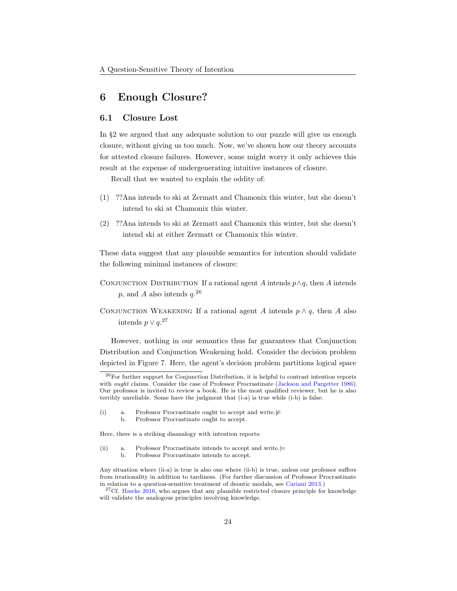## 6 Enough Closure?

#### 6.1 Closure Lost

In §2 we argued that any adequate solution to our puzzle will give us enough closure, without giving us too much. Now, we've shown how our theory accounts for attested closure failures. However, some might worry it only achieves this result at the expense of undergenerating intuitive instances of closure.

Recall that we wanted to explain the oddity of:

- [\(1\)](#page-2-2) ??Ana intends to ski at Zermatt and Chamonix this winter, but she doesn't intend to ski at Chamonix this winter.
- [\(2\)](#page-2-3) ??Ana intends to ski at Zermatt and Chamonix this winter, but she doesn't intend ski at either Zermatt or Chamonix this winter.

These data suggest that any plausible semantics for intention should validate the following minimal instances of closure:

- CONJUNCTION DISTRIBUTION If a rational agent A intends  $p \wedge q$ , then A intends  $p$ , and A also intends  $q.^{26}$  $q.^{26}$  $q.^{26}$
- CONJUNCTION WEAKENING If a rational agent A intends  $p \wedge q$ , then A also intends  $p \vee q$ <sup>[27](#page-23-1)</sup>

However, nothing in our semantics thus far guarantees that Conjunction Distribution and Conjunction Weakening hold. Consider the decision problem depicted in Figure [7.](#page-24-0) Here, the agent's decision problem partitions logical space

b. Professor Procrastinate ought to accept.

Here, there is a striking disanalogy with intention reports:

- <span id="page-23-5"></span><span id="page-23-4"></span>(ii) a. Professor Procrastinate intends to accept and write. $\models$ b. Professor Procrastinate intends to accept.
	-

<span id="page-23-0"></span><sup>26</sup>For further support for Conjunction Distribution, it is helpful to contrast intention reports with *ought* claims. Consider the case of Professor Procrastinate [\(Jackson and Pargetter](#page-35-10) [1986\)](#page-35-10). Our professor is invited to review a book. He is the most qualified reviewer, but he is also terribly unreliable. Some have the judgment that [\(i-a\)](#page-23-2) is true while [\(i-b\)](#page-23-3) is false:

<span id="page-23-3"></span><span id="page-23-2"></span><sup>(</sup>i) a. Professor Procrastinate ought to accept and write. $\neq$ 

Any situation where [\(ii-a\)](#page-23-4) is true is also one where [\(ii-b\)](#page-23-5) is true, unless our professor suffers from irrationality in addition to tardiness. (For further discussion of Professor Procrastinate in relation to a question-sensitive treatment of deontic modals, see [Cariani](#page-34-10) [2013.](#page-34-10))

<span id="page-23-1"></span> $27Cf$ . [Hawke](#page-35-2) [2016,](#page-35-2) who argues that any plausible restricted closure principle for knowledge will validate the analogous principles involving knowledge.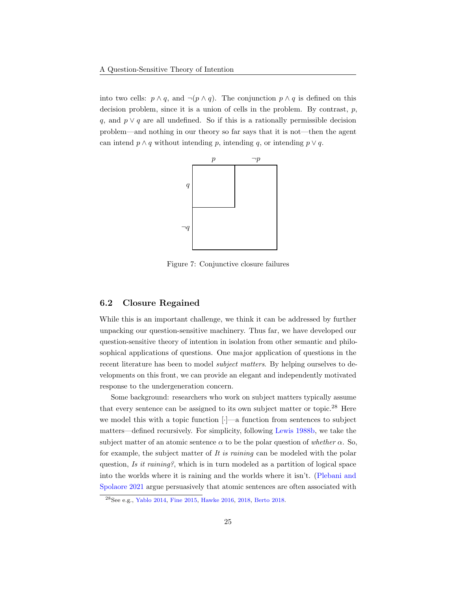into two cells:  $p \wedge q$ , and  $\neg(p \wedge q)$ . The conjunction  $p \wedge q$  is defined on this decision problem, since it is a union of cells in the problem. By contrast,  $p$ , q, and  $p \vee q$  are all undefined. So if this is a rationally permissible decision problem—and nothing in our theory so far says that it is not—then the agent can intend  $p \wedge q$  without intending p, intending q, or intending  $p \vee q$ .



<span id="page-24-0"></span>Figure 7: Conjunctive closure failures

#### 6.2 Closure Regained

While this is an important challenge, we think it can be addressed by further unpacking our question-sensitive machinery. Thus far, we have developed our question-sensitive theory of intention in isolation from other semantic and philosophical applications of questions. One major application of questions in the recent literature has been to model *subject matters*. By helping ourselves to developments on this front, we can provide an elegant and independently motivated response to the undergeneration concern.

Some background: researchers who work on subject matters typically assume that every sentence can be assigned to its own subject matter or topic.[28](#page-24-1) Here we model this with a topic function [·]—a function from sentences to subject matters—defined recursively. For simplicity, following [Lewis](#page-36-9) [1988b,](#page-36-9) we take the subject matter of an atomic sentence  $\alpha$  to be the polar question of whether  $\alpha$ . So, for example, the subject matter of It is raining can be modeled with the polar question, Is it raining?, which is in turn modeled as a partition of logical space into the worlds where it is raining and the worlds where it isn't. [\(Plebani and](#page-37-12) [Spolaore](#page-37-12) [2021](#page-37-12) argue persuasively that atomic sentences are often associated with

<span id="page-24-1"></span><sup>28</sup>See e.g., [Yablo](#page-38-2) [2014,](#page-38-2) [Fine](#page-35-11) [2015,](#page-35-11) [Hawke](#page-35-2) [2016,](#page-35-2) [2018,](#page-35-12) [Berto](#page-34-1) [2018.](#page-34-1)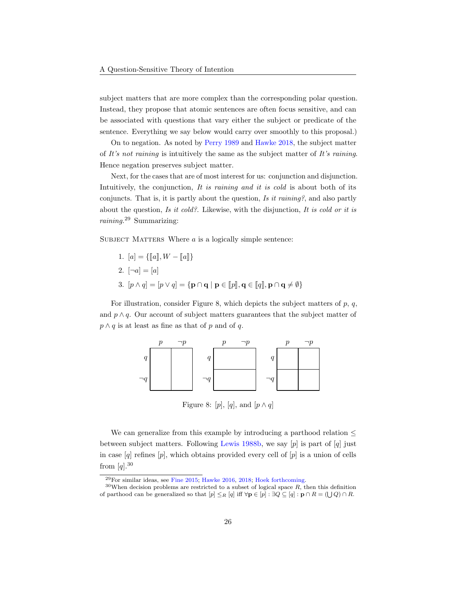subject matters that are more complex than the corresponding polar question. Instead, they propose that atomic sentences are often focus sensitive, and can be associated with questions that vary either the subject or predicate of the sentence. Everything we say below would carry over smoothly to this proposal.)

On to negation. As noted by [Perry](#page-36-12) [1989](#page-36-12) and [Hawke](#page-35-12) [2018,](#page-35-12) the subject matter of It's not raining is intuitively the same as the subject matter of It's raining. Hence negation preserves subject matter.

Next, for the cases that are of most interest for us: conjunction and disjunction. Intuitively, the conjunction, It is raining and it is cold is about both of its conjuncts. That is, it is partly about the question, Is it raining?, and also partly about the question, Is it cold?. Likewise, with the disjunction, It is cold or it is raining.<sup>[29](#page-25-0)</sup> Summarizing:

SUBJECT MATTERS Where  $a$  is a logically simple sentence:

1. 
$$
[a] = \{ [a], W - [a] \}
$$
  
\n2.  $[\neg a] = [a]$   
\n3.  $[p \land q] = [p \lor q] = \{ \mathbf{p} \cap \mathbf{q} \mid \mathbf{p} \in [p], \mathbf{q} \in [q], \mathbf{p} \cap \mathbf{q} \neq \emptyset \}$ 

For illustration, consider Figure [8,](#page-25-1) which depicts the subject matters of  $p$ ,  $q$ , and  $p \wedge q$ . Our account of subject matters guarantees that the subject matter of  $p \wedge q$  is at least as fine as that of p and of q.



<span id="page-25-1"></span>Figure 8:  $[p]$ ,  $[q]$ , and  $[p \wedge q]$ 

We can generalize from this example by introducing a parthood relation  $\leq$ between subject matters. Following [Lewis](#page-36-9) [1988b,](#page-36-9) we say  $[p]$  is part of  $[q]$  just in case  $[q]$  refines  $[p]$ , which obtains provided every cell of  $[p]$  is a union of cells from  $[q]$ .<sup>[30](#page-25-2)</sup>

<span id="page-25-2"></span><span id="page-25-0"></span><sup>29</sup>For similar ideas, see [Fine](#page-35-11) [2015;](#page-35-11) [Hawke](#page-35-2) [2016,](#page-35-2) [2018;](#page-35-12) [Hoek](#page-35-0) [forthcoming.](#page-35-0)

 $30$ When decision problems are restricted to a subset of logical space R, then this definition of parthood can be generalized so that  $[p] \leq_R [q]$  iff  $\forall \mathbf{p} \in [p] : \exists Q \subseteq [q] : \mathbf{p} \cap R = (\bigcup Q) \cap R$ .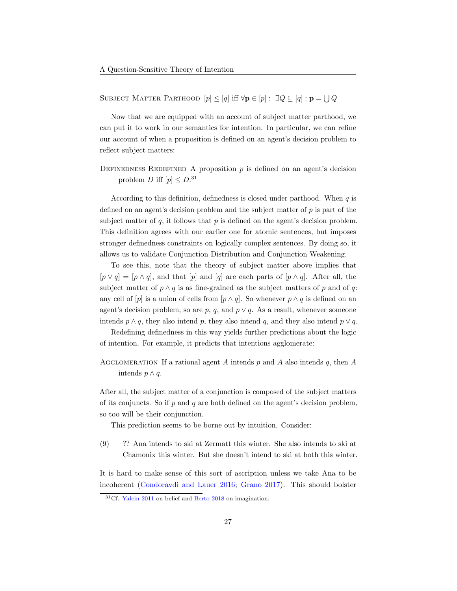SUBJECT MATTER PARTHOOD  $[p] \leq [q]$  iff  $\forall \mathbf{p} \in [p] : \exists Q \subseteq [q] : \mathbf{p} = \bigcup Q$ 

Now that we are equipped with an account of subject matter parthood, we can put it to work in our semantics for intention. In particular, we can refine our account of when a proposition is defined on an agent's decision problem to reflect subject matters:

DEFINEDNESS REDEFINED A proposition  $p$  is defined on an agent's decision problem D iff  $[p] \leq D$ .<sup>[31](#page-26-0)</sup>

According to this definition, definedness is closed under parthood. When  $q$  is defined on an agent's decision problem and the subject matter of  $p$  is part of the subject matter of  $q$ , it follows that  $p$  is defined on the agent's decision problem. This definition agrees with our earlier one for atomic sentences, but imposes stronger definedness constraints on logically complex sentences. By doing so, it allows us to validate Conjunction Distribution and Conjunction Weakening.

To see this, note that the theory of subject matter above implies that  $[p \vee q] = [p \wedge q]$ , and that  $[p]$  and  $[q]$  are each parts of  $[p \wedge q]$ . After all, the subject matter of  $p \wedge q$  is as fine-grained as the subject matters of p and of q: any cell of  $[p]$  is a union of cells from  $[p \wedge q]$ . So whenever  $p \wedge q$  is defined on an agent's decision problem, so are p, q, and  $p \vee q$ . As a result, whenever someone intends  $p \wedge q$ , they also intend p, they also intend q, and they also intend  $p \vee q$ .

Redefining definedness in this way yields further predictions about the logic of intention. For example, it predicts that intentions agglomerate:

AGGLOMERATION If a rational agent A intends p and A also intends q, then A intends  $p \wedge q$ .

After all, the subject matter of a conjunction is composed of the subject matters of its conjuncts. So if  $p$  and  $q$  are both defined on the agent's decision problem, so too will be their conjunction.

This prediction seems to be borne out by intuition. Consider:

(9) ?? Ana intends to ski at Zermatt this winter. She also intends to ski at Chamonix this winter. But she doesn't intend to ski at both this winter.

It is hard to make sense of this sort of ascription unless we take Ana to be incoherent [\(Condoravdi and Lauer](#page-34-9) [2016;](#page-34-9) [Grano](#page-35-7) [2017\)](#page-35-7). This should bolster

<span id="page-26-0"></span><sup>&</sup>lt;sup>31</sup>Cf. [Yalcin](#page-38-0) [2011](#page-38-0) on belief and [Berto](#page-34-1) [2018](#page-34-1) on imagination.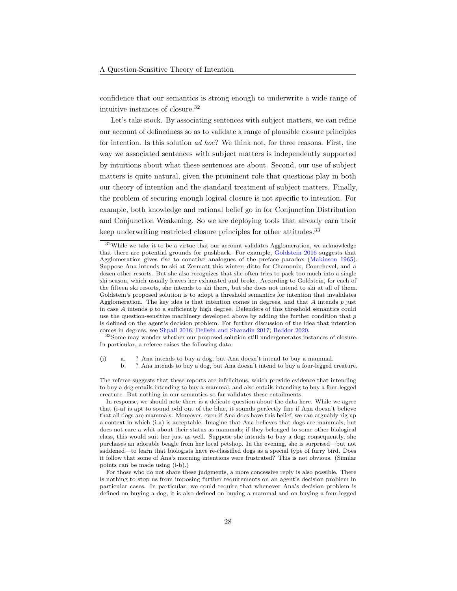confidence that our semantics is strong enough to underwrite a wide range of intuitive instances of closure.[32](#page-27-0)

Let's take stock. By associating sentences with subject matters, we can refine our account of definedness so as to validate a range of plausible closure principles for intention. Is this solution ad hoc? We think not, for three reasons. First, the way we associated sentences with subject matters is independently supported by intuitions about what these sentences are about. Second, our use of subject matters is quite natural, given the prominent role that questions play in both our theory of intention and the standard treatment of subject matters. Finally, the problem of securing enough logical closure is not specific to intention. For example, both knowledge and rational belief go in for Conjunction Distribution and Conjunction Weakening. So we are deploying tools that already earn their keep underwriting restricted closure principles for other attitudes. $33$ 

<span id="page-27-1"></span><sup>33</sup>Some may wonder whether our proposed solution still undergenerates instances of closure. In particular, a referee raises the following data:

<span id="page-27-3"></span><span id="page-27-2"></span>(i) a. ? Ana intends to buy a dog, but Ana doesn't intend to buy a mammal.

b. ? Ana intends to buy a dog, but Ana doesn't intend to buy a four-legged creature.

The referee suggests that these reports are infelicitous, which provide evidence that intending to buy a dog entails intending to buy a mammal, and also entails intending to buy a four-legged creature. But nothing in our semantics so far validates these entailments.

In response, we should note there is a delicate question about the data here. While we agree that [\(i-a\)](#page-27-2) is apt to sound odd out of the blue, it sounds perfectly fine if Ana doesn't believe that all dogs are mammals. Moreover, even if Ana does have this belief, we can arguably rig up a context in which [\(i-a\)](#page-27-2) is acceptable. Imagine that Ana believes that dogs are mammals, but does not care a whit about their status as mammals; if they belonged to some other biological class, this would suit her just as well. Suppose she intends to buy a dog; consequently, she purchases an adorable beagle from her local petshop. In the evening, she is surprised—but not saddened—to learn that biologists have re-classified dogs as a special type of furry bird. Does it follow that some of Ana's morning intentions were frustrated? This is not obvious. (Similar points can be made using [\(i-b\).](#page-27-3))

For those who do not share these judgments, a more concessive reply is also possible. There is nothing to stop us from imposing further requirements on an agent's decision problem in particular cases. In particular, we could require that whenever Ana's decision problem is defined on buying a dog, it is also defined on buying a mammal and on buying a four-legged

<span id="page-27-0"></span><sup>32</sup>While we take it to be a virtue that our account validates Agglomeration, we acknowledge that there are potential grounds for pushback. For example, [Goldstein](#page-35-13) [2016](#page-35-13) suggests that Agglomeration gives rise to conative analogues of the preface paradox [\(Makinson](#page-36-13) [1965\)](#page-36-13). Suppose Ana intends to ski at Zermatt this winter; ditto for Chamonix, Courchevel, and a dozen other resorts. But she also recognizes that she often tries to pack too much into a single ski season, which usually leaves her exhausted and broke. According to Goldstein, for each of the fifteen ski resorts, she intends to ski there, but she does not intend to ski at all of them. Goldstein's proposed solution is to adopt a threshold semantics for intention that invalidates Agglomeration. The key idea is that intention comes in degrees, and that A intends  $p$  just in case  $A$  intends  $p$  to a sufficiently high degree. Defenders of this threshold semantics could use the question-sensitive machinery developed above by adding the further condition that  $p$ is defined on the agent's decision problem. For further discussion of the idea that intention comes in degrees, see [Shpall](#page-37-13) [2016;](#page-37-13) [Dells´en and Sharadin](#page-34-12) [2017;](#page-34-12) [Beddor](#page-34-13) [2020.](#page-34-13)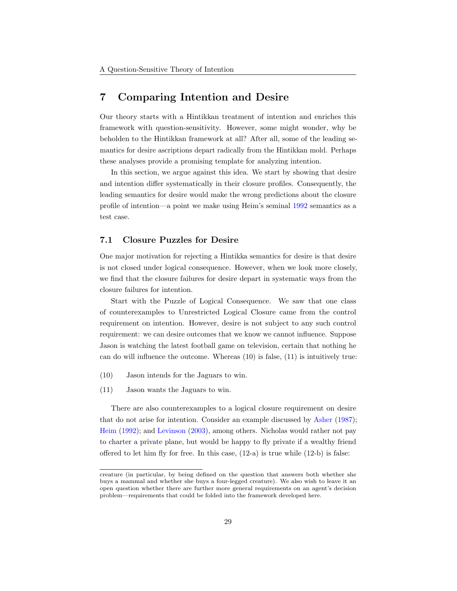### 7 Comparing Intention and Desire

Our theory starts with a Hintikkan treatment of intention and enriches this framework with question-sensitivity. However, some might wonder, why be beholden to the Hintikkan framework at all? After all, some of the leading semantics for desire ascriptions depart radically from the Hintikkan mold. Perhaps these analyses provide a promising template for analyzing intention.

In this section, we argue against this idea. We start by showing that desire and intention differ systematically in their closure profiles. Consequently, the leading semantics for desire would make the wrong predictions about the closure profile of intention—a point we make using Heim's seminal [1992](#page-35-14) semantics as a test case.

#### 7.1 Closure Puzzles for Desire

One major motivation for rejecting a Hintikka semantics for desire is that desire is not closed under logical consequence. However, when we look more closely, we find that the closure failures for desire depart in systematic ways from the closure failures for intention.

Start with the Puzzle of Logical Consequence. We saw that one class of counterexamples to Unrestricted Logical Closure came from the control requirement on intention. However, desire is not subject to any such control requirement: we can desire outcomes that we know we cannot influence. Suppose Jason is watching the latest football game on television, certain that nothing he can do will influence the outcome. Whereas [\(10\)](#page-28-0) is false, [\(11\)](#page-28-1) is intuitively true:

- <span id="page-28-1"></span><span id="page-28-0"></span>(10) Jason intends for the Jaguars to win.
- (11) Jason wants the Jaguars to win.

There are also counterexamples to a logical closure requirement on desire that do not arise for intention. Consider an example discussed by [Asher](#page-34-14) [\(1987\)](#page-34-14); [Heim](#page-35-14) [\(1992\)](#page-35-14); and [Levinson](#page-36-14) [\(2003\)](#page-36-14), among others. Nicholas would rather not pay to charter a private plane, but would be happy to fly private if a wealthy friend offered to let him fly for free. In this case,  $(12-a)$  is true while  $(12-b)$  is false:

<span id="page-28-2"></span>creature (in particular, by being defined on the question that answers both whether she buys a mammal and whether she buys a four-legged creature). We also wish to leave it an open question whether there are further more general requirements on an agent's decision problem—requirements that could be folded into the framework developed here.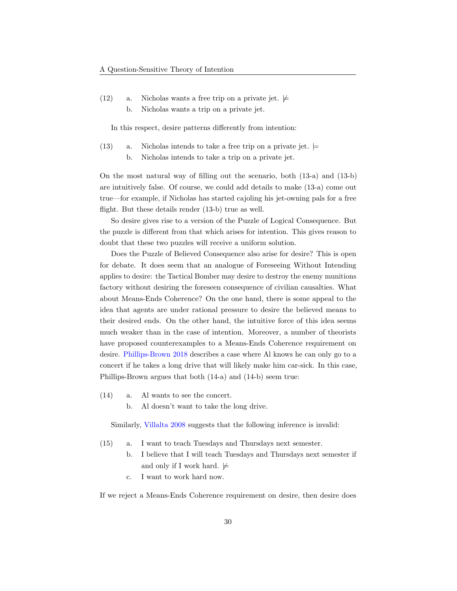<span id="page-29-0"></span>(12) a. Nicholas wants a free trip on a private jet.  $\not\models$ b. Nicholas wants a trip on a private jet.

In this respect, desire patterns differently from intention:

<span id="page-29-2"></span><span id="page-29-1"></span>(13) a. Nicholas intends to take a free trip on a private jet.  $\models$ b. Nicholas intends to take a trip on a private jet.

On the most natural way of filling out the scenario, both [\(13-a\)](#page-29-1) and [\(13-b\)](#page-29-2) are intuitively false. Of course, we could add details to make [\(13-a\)](#page-29-1) come out true—for example, if Nicholas has started cajoling his jet-owning pals for a free flight. But these details render [\(13-b\)](#page-29-2) true as well.

So desire gives rise to a version of the Puzzle of Logical Consequence. But the puzzle is different from that which arises for intention. This gives reason to doubt that these two puzzles will receive a uniform solution.

Does the Puzzle of Believed Consequence also arise for desire? This is open for debate. It does seem that an analogue of Foreseeing Without Intending applies to desire: the Tactical Bomber may desire to destroy the enemy munitions factory without desiring the foreseen consequence of civilian causalties. What about Means-Ends Coherence? On the one hand, there is some appeal to the idea that agents are under rational pressure to desire the believed means to their desired ends. On the other hand, the intuitive force of this idea seems much weaker than in the case of intention. Moreover, a number of theorists have proposed counterexamples to a Means-Ends Coherence requirement on desire. [Phillips-Brown](#page-37-4) [2018](#page-37-4) describes a case where Al knows he can only go to a concert if he takes a long drive that will likely make him car-sick. In this case, Phillips-Brown argues that both [\(14-a\)](#page-29-3) and [\(14-b\)](#page-29-4) seem true:

- <span id="page-29-4"></span><span id="page-29-3"></span>(14) a. Al wants to see the concert.
	- b. Al doesn't want to take the long drive.

Similarly, [Villalta](#page-37-14) [2008](#page-37-14) suggests that the following inference is invalid:

- (15) a. I want to teach Tuesdays and Thursdays next semester.
	- b. I believe that I will teach Tuesdays and Thursdays next semester if and only if I work hard.  $\not\models$
	- c. I want to work hard now.

If we reject a Means-Ends Coherence requirement on desire, then desire does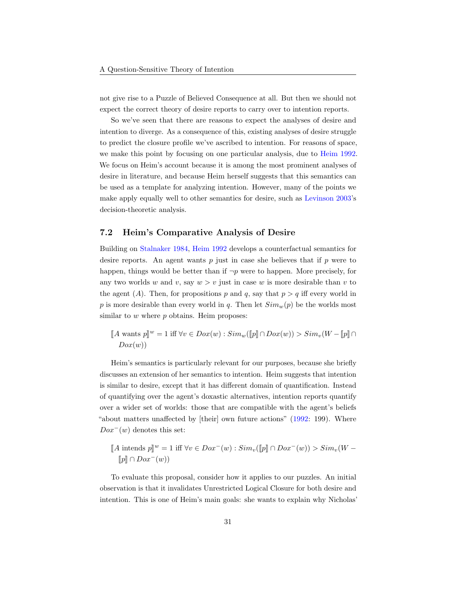not give rise to a Puzzle of Believed Consequence at all. But then we should not expect the correct theory of desire reports to carry over to intention reports.

So we've seen that there are reasons to expect the analyses of desire and intention to diverge. As a consequence of this, existing analyses of desire struggle to predict the closure profile we've ascribed to intention. For reasons of space, we make this point by focusing on one particular analysis, due to [Heim](#page-35-14) [1992.](#page-35-14) We focus on Heim's account because it is among the most prominent analyses of desire in literature, and because Heim herself suggests that this semantics can be used as a template for analyzing intention. However, many of the points we make apply equally well to other semantics for desire, such as [Levinson](#page-36-14) [2003'](#page-36-14)s decision-theoretic analysis.

#### 7.2 Heim's Comparative Analysis of Desire

Building on [Stalnaker](#page-37-5) [1984,](#page-37-5) [Heim](#page-35-14) [1992](#page-35-14) develops a counterfactual semantics for desire reports. An agent wants  $p$  just in case she believes that if  $p$  were to happen, things would be better than if  $\neg p$  were to happen. More precisely, for any two worlds w and v, say  $w > v$  just in case w is more desirable than v to the agent (A). Then, for propositions p and q, say that  $p > q$  iff every world in p is more desirable than every world in q. Then let  $Sim_w(p)$  be the worlds most similar to  $w$  where  $p$  obtains. Heim proposes:

 $\llbracket A \text{ wants } p \rrbracket^w = 1 \text{ iff } \forall v \in Dox(w) : Sim_w(\llbracket p \rrbracket \cap Dox(w)) > Sim_v(W - \llbracket p \rrbracket \cap$  $Dox(w)$ 

Heim's semantics is particularly relevant for our purposes, because she briefly discusses an extension of her semantics to intention. Heim suggests that intention is similar to desire, except that it has different domain of quantification. Instead of quantifying over the agent's doxastic alternatives, intention reports quantify over a wider set of worlds: those that are compatible with the agent's beliefs "about matters unaffected by [their] own future actions" [\(1992:](#page-35-14) 199). Where  $Dox^{-}(w)$  denotes this set:

$$
[A \text{ intends } p]^w = 1 \text{ iff } \forall v \in Dox^-(w) : Sim_v([p] \cap Dox^-(w)) > Sim_v(W - [p] \cap Dox^-(w))
$$

To evaluate this proposal, consider how it applies to our puzzles. An initial observation is that it invalidates Unrestricted Logical Closure for both desire and intention. This is one of Heim's main goals: she wants to explain why Nicholas'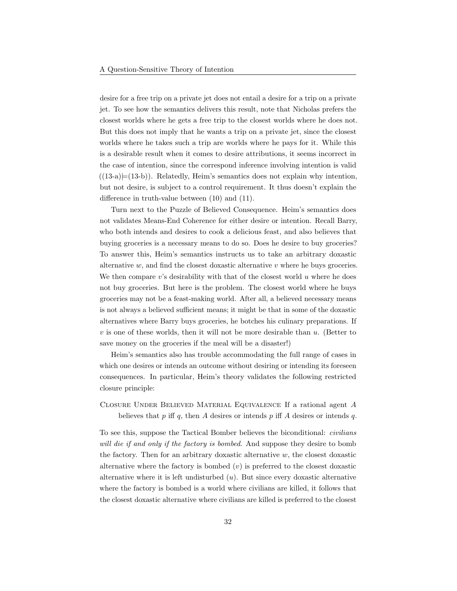desire for a free trip on a private jet does not entail a desire for a trip on a private jet. To see how the semantics delivers this result, note that Nicholas prefers the closest worlds where he gets a free trip to the closest worlds where he does not. But this does not imply that he wants a trip on a private jet, since the closest worlds where he takes such a trip are worlds where he pays for it. While this is a desirable result when it comes to desire attributions, it seems incorrect in the case of intention, since the correspond inference involving intention is valid  $((13-a) \models (13-b))$  $((13-a) \models (13-b))$ . Relatedly, Heim's semantics does not explain why intention, but not desire, is subject to a control requirement. It thus doesn't explain the difference in truth-value between [\(10\)](#page-28-0) and [\(11\).](#page-28-1)

Turn next to the Puzzle of Believed Consequence. Heim's semantics does not validates Means-End Coherence for either desire or intention. Recall Barry, who both intends and desires to cook a delicious feast, and also believes that buying groceries is a necessary means to do so. Does he desire to buy groceries? To answer this, Heim's semantics instructs us to take an arbitrary doxastic alternative  $w$ , and find the closest doxastic alternative  $v$  where he buys groceries. We then compare  $v$ 's desirability with that of the closest world  $u$  where he does not buy groceries. But here is the problem. The closest world where he buys groceries may not be a feast-making world. After all, a believed necessary means is not always a believed sufficient means; it might be that in some of the doxastic alternatives where Barry buys groceries, he botches his culinary preparations. If  $v$  is one of these worlds, then it will not be more desirable than  $u$ . (Better to save money on the groceries if the meal will be a disaster!)

Heim's semantics also has trouble accommodating the full range of cases in which one desires or intends an outcome without desiring or intending its foreseen consequences. In particular, Heim's theory validates the following restricted closure principle:

### Closure Under Believed Material Equivalence If a rational agent A believes that  $p$  iff  $q$ , then  $A$  desires or intends  $p$  iff  $A$  desires or intends  $q$ .

To see this, suppose the Tactical Bomber believes the biconditional: civilians will die if and only if the factory is bombed. And suppose they desire to bomb the factory. Then for an arbitrary doxastic alternative  $w$ , the closest doxastic alternative where the factory is bombed  $(v)$  is preferred to the closest doxastic alternative where it is left undisturbed  $(u)$ . But since every doxastic alternative where the factory is bombed is a world where civilians are killed, it follows that the closest doxastic alternative where civilians are killed is preferred to the closest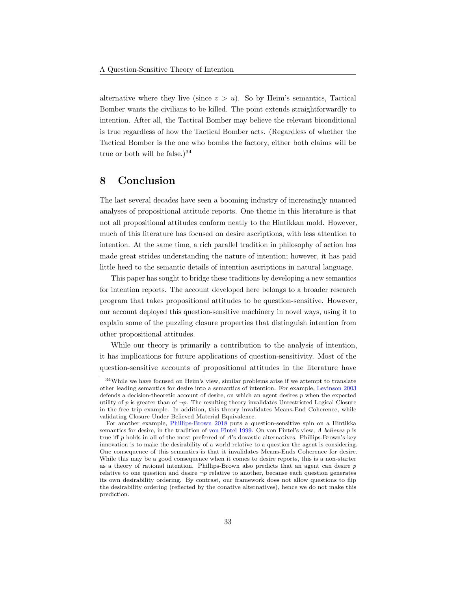alternative where they live (since  $v > u$ ). So by Heim's semantics, Tactical Bomber wants the civilians to be killed. The point extends straightforwardly to intention. After all, the Tactical Bomber may believe the relevant biconditional is true regardless of how the Tactical Bomber acts. (Regardless of whether the Tactical Bomber is the one who bombs the factory, either both claims will be true or both will be false.) $34$ 

### 8 Conclusion

The last several decades have seen a booming industry of increasingly nuanced analyses of propositional attitude reports. One theme in this literature is that not all propositional attitudes conform neatly to the Hintikkan mold. However, much of this literature has focused on desire ascriptions, with less attention to intention. At the same time, a rich parallel tradition in philosophy of action has made great strides understanding the nature of intention; however, it has paid little heed to the semantic details of intention ascriptions in natural language.

This paper has sought to bridge these traditions by developing a new semantics for intention reports. The account developed here belongs to a broader research program that takes propositional attitudes to be question-sensitive. However, our account deployed this question-sensitive machinery in novel ways, using it to explain some of the puzzling closure properties that distinguish intention from other propositional attitudes.

While our theory is primarily a contribution to the analysis of intention, it has implications for future applications of question-sensitivity. Most of the question-sensitive accounts of propositional attitudes in the literature have

<span id="page-32-0"></span><sup>34</sup>While we have focused on Heim's view, similar problems arise if we attempt to translate other leading semantics for desire into a semantics of intention. For example, [Levinson](#page-36-14) [2003](#page-36-14) defends a decision-theoretic account of desire, on which an agent desires  $p$  when the expected utility of p is greater than of  $\neg p$ . The resulting theory invalidates Unrestricted Logical Closure in the free trip example. In addition, this theory invalidates Means-End Coherence, while validating Closure Under Believed Material Equivalence.

For another example, [Phillips-Brown](#page-37-4) [2018](#page-37-4) puts a question-sensitive spin on a Hintikka semantics for desire, in the tradition of [von Fintel](#page-37-8) [1999.](#page-37-8) On von Fintel's view, A believes p is true iff  $p$  holds in all of the most preferred of  $A$ 's doxastic alternatives. Phillips-Brown's key innovation is to make the desirability of a world relative to a question the agent is considering. One consequence of this semantics is that it invalidates Means-Ends Coherence for desire. While this may be a good consequence when it comes to desire reports, this is a non-starter as a theory of rational intention. Phillips-Brown also predicts that an agent can desire  $p$ relative to one question and desire  $\neg p$  relative to another, because each question generates its own desirability ordering. By contrast, our framework does not allow questions to flip the desirability ordering (reflected by the conative alternatives), hence we do not make this prediction.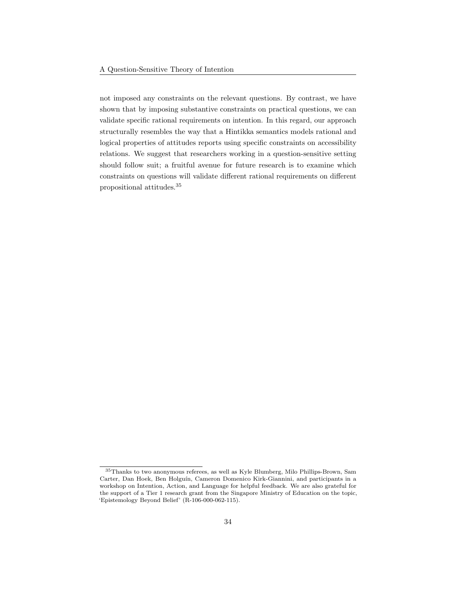not imposed any constraints on the relevant questions. By contrast, we have shown that by imposing substantive constraints on practical questions, we can validate specific rational requirements on intention. In this regard, our approach structurally resembles the way that a Hintikka semantics models rational and logical properties of attitudes reports using specific constraints on accessibility relations. We suggest that researchers working in a question-sensitive setting should follow suit; a fruitful avenue for future research is to examine which constraints on questions will validate different rational requirements on different propositional attitudes.[35](#page-33-0)

<span id="page-33-0"></span><sup>35</sup>Thanks to two anonymous referees, as well as Kyle Blumberg, Milo Phillips-Brown, Sam Carter, Dan Hoek, Ben Holguín, Cameron Domenico Kirk-Giannini, and participants in a workshop on Intention, Action, and Language for helpful feedback. We are also grateful for the support of a Tier 1 research grant from the Singapore Ministry of Education on the topic, 'Epistemology Beyond Belief' (R-106-000-062-115).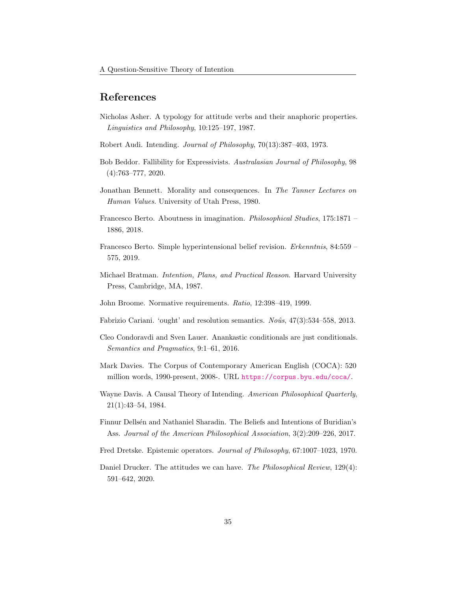### References

- <span id="page-34-14"></span>Nicholas Asher. A typology for attitude verbs and their anaphoric properties. Linguistics and Philosophy, 10:125–197, 1987.
- <span id="page-34-11"></span>Robert Audi. Intending. Journal of Philosophy, 70(13):387–403, 1973.
- <span id="page-34-13"></span>Bob Beddor. Fallibility for Expressivists. Australasian Journal of Philosophy, 98 (4):763–777, 2020.
- <span id="page-34-8"></span>Jonathan Bennett. Morality and consequences. In The Tanner Lectures on Human Values. University of Utah Press, 1980.
- <span id="page-34-1"></span>Francesco Berto. Aboutness in imagination. Philosophical Studies, 175:1871 – 1886, 2018.
- <span id="page-34-2"></span>Francesco Berto. Simple hyperintensional belief revision. Erkenntnis, 84:559 – 575, 2019.
- <span id="page-34-6"></span>Michael Bratman. Intention, Plans, and Practical Reason. Harvard University Press, Cambridge, MA, 1987.
- <span id="page-34-7"></span>John Broome. Normative requirements. Ratio, 12:398–419, 1999.
- <span id="page-34-10"></span>Fabrizio Cariani. 'ought' and resolution semantics.  $No\hat{u}s$ ,  $47(3):534-558$ , 2013.
- <span id="page-34-9"></span>Cleo Condoravdi and Sven Lauer. Anankastic conditionals are just conditionals. Semantics and Pragmatics, 9:1–61, 2016.
- <span id="page-34-5"></span>Mark Davies. The Corpus of Contemporary American English (COCA): 520 million words, 1990-present, 2008-. URL <https://corpus.byu.edu/coca/>.
- <span id="page-34-4"></span>Wayne Davis. A Causal Theory of Intending. American Philosophical Quarterly, 21(1):43–54, 1984.
- <span id="page-34-12"></span>Finnur Dellsén and Nathaniel Sharadin. The Beliefs and Intentions of Buridian's Ass. Journal of the American Philosophical Association, 3(2):209–226, 2017.
- <span id="page-34-3"></span>Fred Dretske. Epistemic operators. Journal of Philosophy, 67:1007–1023, 1970.
- <span id="page-34-0"></span>Daniel Drucker. The attitudes we can have. The Philosophical Review, 129(4): 591–642, 2020.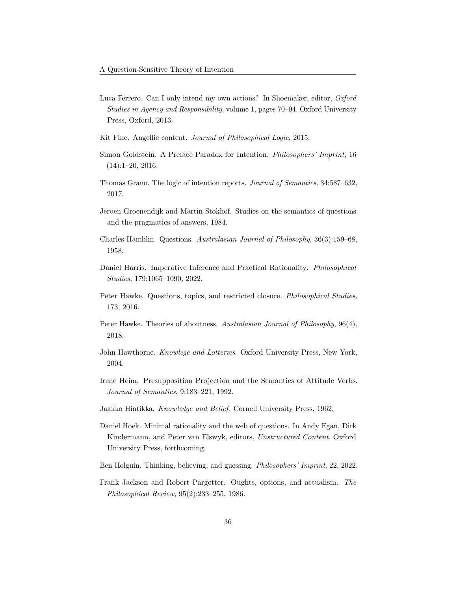- <span id="page-35-5"></span>Luca Ferrero. Can I only intend my own actions? In Shoemaker, editor, Oxford Studies in Agency and Responsibility, volume 1, pages 70–94. Oxford University Press, Oxford, 2013.
- <span id="page-35-11"></span>Kit Fine. Angellic content. Journal of Philosophical Logic, 2015.
- <span id="page-35-13"></span>Simon Goldstein. A Preface Paradox for Intention. Philosophers' Imprint, 16  $(14):1-20, 2016.$
- <span id="page-35-7"></span>Thomas Grano. The logic of intention reports. Journal of Semantics, 34:587–632, 2017.
- <span id="page-35-9"></span>Jeroen Groenendijk and Martin Stokhof. Studies on the semantics of questions and the pragmatics of answers, 1984.
- <span id="page-35-8"></span>Charles Hamblin. Questions. Australasian Journal of Philosophy, 36(3):159–68, 1958.
- <span id="page-35-6"></span>Daniel Harris. Imperative Inference and Practical Rationality. Philosophical Studies, 179:1065–1090, 2022.
- <span id="page-35-2"></span>Peter Hawke. Questions, topics, and restricted closure. Philosophical Studies, 173, 2016.
- <span id="page-35-12"></span>Peter Hawke. Theories of aboutness. Australasian Journal of Philosophy, 96(4), 2018.
- <span id="page-35-4"></span>John Hawthorne. Knowlege and Lotteries. Oxford University Press, New York, 2004.
- <span id="page-35-14"></span>Irene Heim. Presupposition Projection and the Semantics of Attitude Verbs. Journal of Semantics, 9:183–221, 1992.
- <span id="page-35-3"></span>Jaakko Hintikka. Knowledge and Belief. Cornell University Press, 1962.
- <span id="page-35-0"></span>Daniel Hoek. Minimal rationality and the web of questions. In Andy Egan, Dirk Kindermann, and Peter van Elswyk, editors, Unstructured Content. Oxford University Press, forthcoming.
- <span id="page-35-1"></span>Ben Holguín. Thinking, believing, and guessing. Philosophers' Imprint, 22, 2022.
- <span id="page-35-10"></span>Frank Jackson and Robert Pargetter. Oughts, options, and actualism. The Philosophical Review, 95(2):233–255, 1986.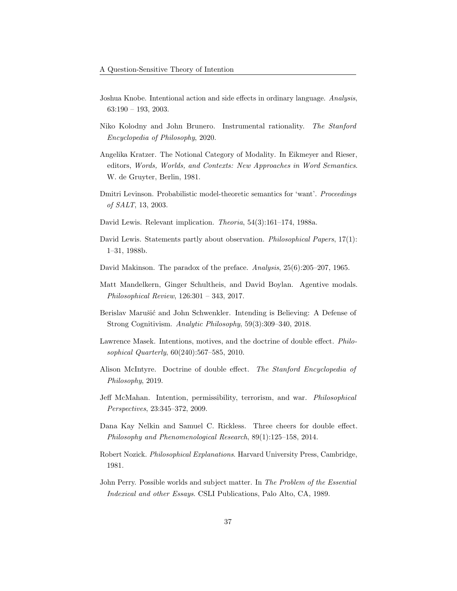- <span id="page-36-6"></span>Joshua Knobe. Intentional action and side effects in ordinary language. Analysis, 63:190 – 193, 2003.
- <span id="page-36-2"></span>Niko Kolodny and John Brunero. Instrumental rationality. The Stanford Encyclopedia of Philosophy, 2020.
- <span id="page-36-7"></span>Angelika Kratzer. The Notional Category of Modality. In Eikmeyer and Rieser, editors, Words, Worlds, and Contexts: New Approaches in Word Semantics. W. de Gruyter, Berlin, 1981.
- <span id="page-36-14"></span>Dmitri Levinson. Probabilistic model-theoretic semantics for 'want'. Proceedings of SALT, 13, 2003.
- <span id="page-36-8"></span>David Lewis. Relevant implication. Theoria, 54(3):161–174, 1988a.
- <span id="page-36-9"></span>David Lewis. Statements partly about observation. *Philosophical Papers*, 17(1): 1–31, 1988b.
- <span id="page-36-13"></span>David Makinson. The paradox of the preface. Analysis, 25(6):205–207, 1965.
- <span id="page-36-0"></span>Matt Mandelkern, Ginger Schultheis, and David Boylan. Agentive modals. Philosophical Review, 126:301 – 343, 2017.
- <span id="page-36-11"></span>Berislav Marušić and John Schwenkler. Intending is Believing: A Defense of Strong Cognitivism. Analytic Philosophy, 59(3):309–340, 2018.
- <span id="page-36-10"></span>Lawrence Masek. Intentions, motives, and the doctrine of double effect. Philosophical Quarterly, 60(240):567–585, 2010.
- <span id="page-36-5"></span>Alison McIntyre. Doctrine of double effect. The Stanford Encyclopedia of Philosophy, 2019.
- <span id="page-36-3"></span>Jeff McMahan. Intention, permissibility, terrorism, and war. Philosophical Perspectives, 23:345–372, 2009.
- <span id="page-36-4"></span>Dana Kay Nelkin and Samuel C. Rickless. Three cheers for double effect. Philosophy and Phenomenological Research, 89(1):125–158, 2014.
- <span id="page-36-1"></span>Robert Nozick. Philosophical Explanations. Harvard University Press, Cambridge, 1981.
- <span id="page-36-12"></span>John Perry. Possible worlds and subject matter. In The Problem of the Essential Indexical and other Essays. CSLI Publications, Palo Alto, CA, 1989.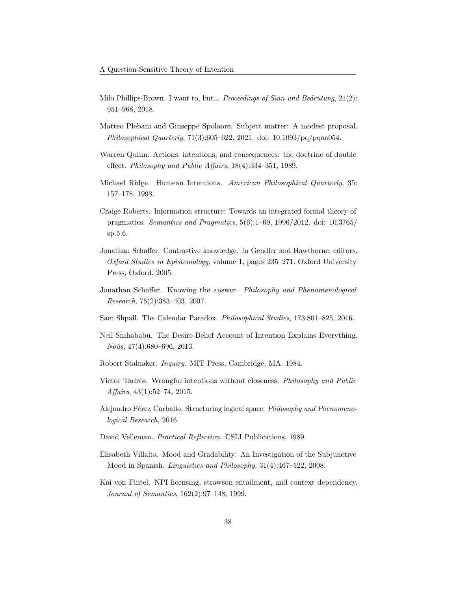- <span id="page-37-4"></span>Milo Phillips-Brown. I want to, but... Proceedings of Sinn und Bedeutung, 21(2): 951–968, 2018.
- <span id="page-37-12"></span>Matteo Plebani and Giuseppe Spolaore. Subject matter: A modest proposal. Philosophical Quarterly, 71(3):605–622, 2021. doi: 10.1093/pq/pqaa054.
- <span id="page-37-6"></span>Warren Quinn. Actions, intentions, and consequences: the doctrine of double effect. Philosophy and Public Affairs, 18(4):334–351, 1989.
- <span id="page-37-9"></span>Michael Ridge. Humean Intentions. American Philosophical Quarterly, 35: 157–178, 1998.
- <span id="page-37-1"></span>Craige Roberts. Information structure: Towards an integrated formal theory of pragmatics. Semantics and Pragmatics, 5(6):1–69, 1996/2012. doi: 10.3765/ sp.5.6.
- <span id="page-37-2"></span>Jonathan Schaffer. Contrastive knowledge. In Gendler and Hawthorne, editors, Oxford Studies in Epistemology, volume 1, pages 235–271. Oxford University Press, Oxford, 2005.
- <span id="page-37-3"></span>Jonathan Schaffer. Knowing the answer. Philosophy and Phenomenological Research, 75(2):383–403, 2007.
- <span id="page-37-13"></span>Sam Shpall. The Calendar Paradox. Philosophical Studies, 173:801–825, 2016.
- <span id="page-37-10"></span>Neil Sinhababu. The Desire-Belief Account of Intention Explains Everything.  $Noûs, 47(4):680-696, 2013.$
- <span id="page-37-5"></span>Robert Stalnaker. Inquiry. MIT Press, Cambridge, MA, 1984.
- <span id="page-37-7"></span>Victor Tadros. Wrongful intentions without closeness. Philosophy and Public Affairs, 43(1):52–74, 2015.
- <span id="page-37-0"></span>Alejandro Pérez Carballo. Structuring logical space. Philosophy and Phenomenological Research, 2016.
- <span id="page-37-11"></span>David Velleman. Practical Reflection. CSLI Publications, 1989.
- <span id="page-37-14"></span>Elisabeth Villalta. Mood and Gradability: An Investigation of the Subjunctive Mood in Spanish. Linguistics and Philosophy, 31(4):467–522, 2008.
- <span id="page-37-8"></span>Kai von Fintel. NPI licensing, strawson entailment, and context dependency. Journal of Semantics, 162(2):97–148, 1999.